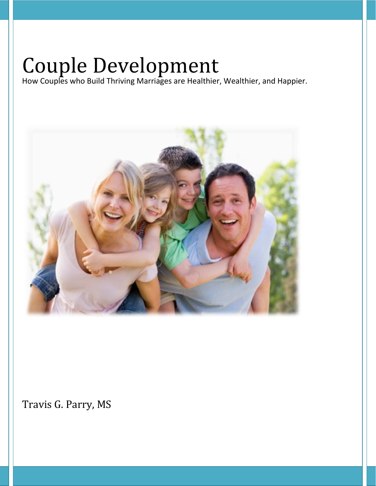# Couple Development

How Couples who Build Thriving Marriages are Healthier, Wealthier, and Happier.



Travis G. Parry, MS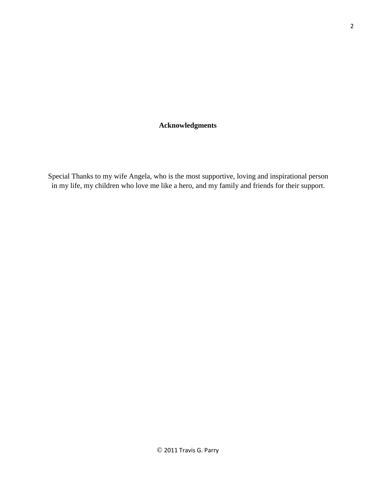## **Acknowledgments**

Special Thanks to my wife Angela, who is the most supportive, loving and inspirational person in my life, my children who love me like a hero, and my family and friends for their support.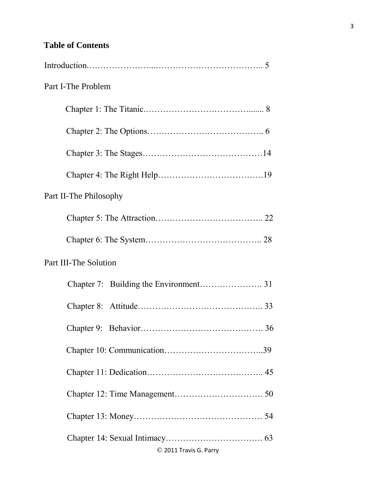## **Table of Contents**

| Part I-The Problem     |
|------------------------|
|                        |
|                        |
|                        |
|                        |
| Part II-The Philosophy |
|                        |
|                        |
| Part III-The Solution  |
|                        |
|                        |
|                        |
|                        |
|                        |
|                        |
|                        |
| © 2011 Travis G. Parry |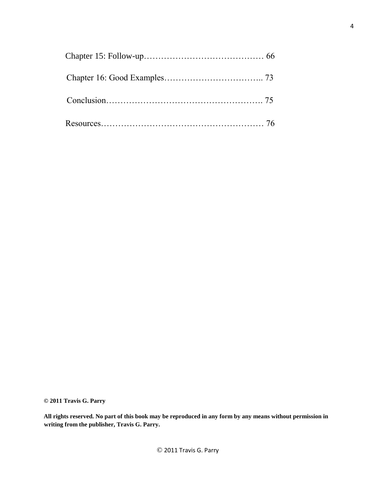**© 2011 Travis G. Parry** 

**All rights reserved. No part of this book may be reproduced in any form by any means without permission in writing from the publisher, Travis G. Parry.**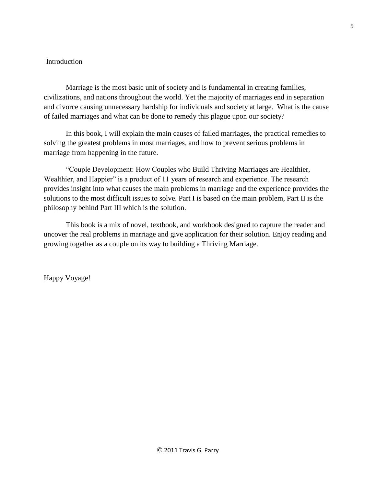## Introduction

Marriage is the most basic unit of society and is fundamental in creating families, civilizations, and nations throughout the world. Yet the majority of marriages end in separation and divorce causing unnecessary hardship for individuals and society at large. What is the cause of failed marriages and what can be done to remedy this plague upon our society?

In this book, I will explain the main causes of failed marriages, the practical remedies to solving the greatest problems in most marriages, and how to prevent serious problems in marriage from happening in the future.

"Couple Development: How Couples who Build Thriving Marriages are Healthier, Wealthier, and Happier" is a product of 11 years of research and experience. The research provides insight into what causes the main problems in marriage and the experience provides the solutions to the most difficult issues to solve. Part I is based on the main problem, Part II is the philosophy behind Part III which is the solution.

This book is a mix of novel, textbook, and workbook designed to capture the reader and uncover the real problems in marriage and give application for their solution. Enjoy reading and growing together as a couple on its way to building a Thriving Marriage.

Happy Voyage!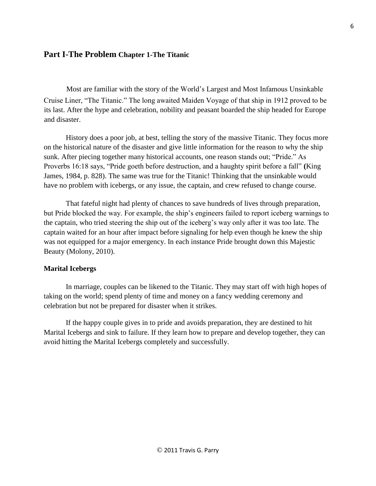## **Part I-The Problem Chapter 1-The Titanic**

Most are familiar with the story of the World's Largest and Most Infamous Unsinkable Cruise Liner, "The Titanic." The long awaited Maiden Voyage of that ship in 1912 proved to be its last. After the hype and celebration, nobility and peasant boarded the ship headed for Europe and disaster.

History does a poor job, at best, telling the story of the massive Titanic. They focus more on the historical nature of the disaster and give little information for the reason to why the ship sunk. After piecing together many historical accounts, one reason stands out; "Pride." As Proverbs 16:18 says, "Pride goeth before destruction, and a haughty spirit before a fall" **(**King James, 1984, p. 828). The same was true for the Titanic! Thinking that the unsinkable would have no problem with icebergs, or any issue, the captain, and crew refused to change course.

That fateful night had plenty of chances to save hundreds of lives through preparation, but Pride blocked the way. For example, the ship's engineers failed to report iceberg warnings to the captain, who tried steering the ship out of the iceberg's way only after it was too late. The captain waited for an hour after impact before signaling for help even though he knew the ship was not equipped for a major emergency. In each instance Pride brought down this Majestic Beauty (Molony, 2010).

#### **Marital Icebergs**

In marriage, couples can be likened to the Titanic. They may start off with high hopes of taking on the world; spend plenty of time and money on a fancy wedding ceremony and celebration but not be prepared for disaster when it strikes.

If the happy couple gives in to pride and avoids preparation, they are destined to hit Marital Icebergs and sink to failure. If they learn how to prepare and develop together, they can avoid hitting the Marital Icebergs completely and successfully.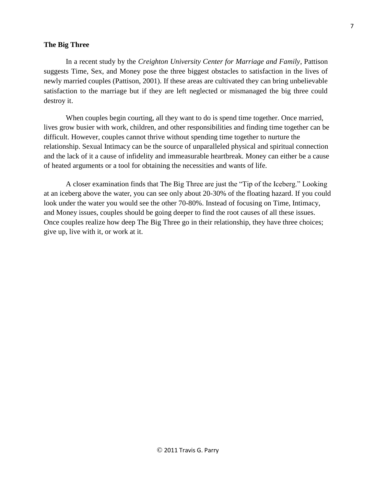#### **The Big Three**

In a recent study by the *Creighton University Center for Marriage and Family*, Pattison suggests Time, Sex, and Money pose the three biggest obstacles to satisfaction in the lives of newly married couples (Pattison, 2001). If these areas are cultivated they can bring unbelievable satisfaction to the marriage but if they are left neglected or mismanaged the big three could destroy it.

When couples begin courting, all they want to do is spend time together. Once married, lives grow busier with work, children, and other responsibilities and finding time together can be difficult. However, couples cannot thrive without spending time together to nurture the relationship. Sexual Intimacy can be the source of unparalleled physical and spiritual connection and the lack of it a cause of infidelity and immeasurable heartbreak. Money can either be a cause of heated arguments or a tool for obtaining the necessities and wants of life.

A closer examination finds that The Big Three are just the "Tip of the Iceberg." Looking at an iceberg above the water, you can see only about 20-30% of the floating hazard. If you could look under the water you would see the other 70-80%. Instead of focusing on Time, Intimacy, and Money issues, couples should be going deeper to find the root causes of all these issues. Once couples realize how deep The Big Three go in their relationship, they have three choices; give up, live with it, or work at it.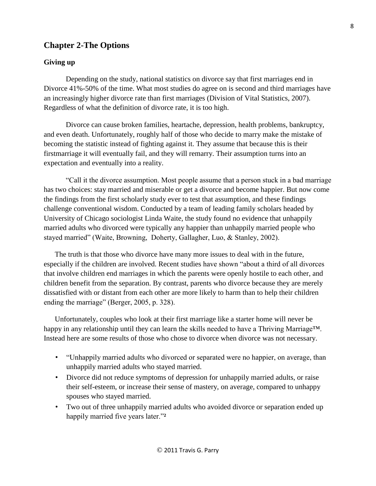## **Chapter 2-The Options**

## **Giving up**

Depending on the study, national statistics on divorce say that first marriages end in Divorce 41%-50% of the time. What most studies do agree on is second and third marriages have an increasingly higher divorce rate than first marriages (Division of Vital Statistics, 2007). Regardless of what the definition of divorce rate, it is too high.

Divorce can cause broken families, heartache, depression, health problems, bankruptcy, and even death. Unfortunately, roughly half of those who decide to marry make the mistake of becoming the statistic instead of fighting against it. They assume that because this is their firstmarriage it will eventually fail, and they will remarry. Their assumption turns into an expectation and eventually into a reality.

"Call it the divorce assumption. Most people assume that a person stuck in a bad marriage has two choices: stay married and miserable or get a divorce and become happier. But now come the findings from the first scholarly study ever to test that assumption, and these findings challenge conventional wisdom. Conducted by a team of leading family scholars headed by University of Chicago sociologist Linda Waite, the study found no evidence that unhappily married adults who divorced were typically any happier than unhappily married people who stayed married" (Waite, Browning, Doherty, Gallagher, Luo, & Stanley, 2002).

The truth is that those who divorce have many more issues to deal with in the future, especially if the children are involved. Recent studies have shown "about a third of all divorces that involve children end marriages in which the parents were openly hostile to each other, and children benefit from the separation. By contrast, parents who divorce because they are merely dissatisfied with or distant from each other are more likely to harm than to help their children ending the marriage" (Berger, 2005, p. 328).

Unfortunately, couples who look at their first marriage like a starter home will never be happy in any relationship until they can learn the skills needed to have a Thriving Marriage<sup>TM</sup>. Instead here are some results of those who chose to divorce when divorce was not necessary.

- "Unhappily married adults who divorced or separated were no happier, on average, than unhappily married adults who stayed married.
- Divorce did not reduce symptoms of depression for unhappily married adults, or raise their self-esteem, or increase their sense of mastery, on average, compared to unhappy spouses who stayed married.
- Two out of three unhappily married adults who avoided divorce or separation ended up happily married five years later."**²**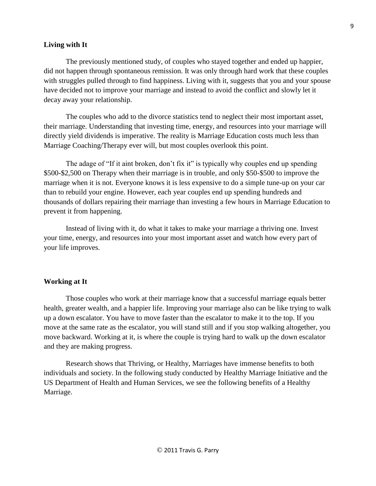#### **Living with It**

The previously mentioned study, of couples who stayed together and ended up happier, did not happen through spontaneous remission. It was only through hard work that these couples with struggles pulled through to find happiness. Living with it, suggests that you and your spouse have decided not to improve your marriage and instead to avoid the conflict and slowly let it decay away your relationship.

The couples who add to the divorce statistics tend to neglect their most important asset, their marriage. Understanding that investing time, energy, and resources into your marriage will directly yield dividends is imperative. The reality is Marriage Education costs much less than Marriage Coaching/Therapy ever will, but most couples overlook this point.

The adage of "If it aint broken, don't fix it" is typically why couples end up spending \$500-\$2,500 on Therapy when their marriage is in trouble, and only \$50-\$500 to improve the marriage when it is not. Everyone knows it is less expensive to do a simple tune-up on your car than to rebuild your engine. However, each year couples end up spending hundreds and thousands of dollars repairing their marriage than investing a few hours in Marriage Education to prevent it from happening.

Instead of living with it, do what it takes to make your marriage a thriving one. Invest your time, energy, and resources into your most important asset and watch how every part of your life improves.

#### **Working at It**

Those couples who work at their marriage know that a successful marriage equals better health, greater wealth, and a happier life. Improving your marriage also can be like trying to walk up a down escalator. You have to move faster than the escalator to make it to the top. If you move at the same rate as the escalator, you will stand still and if you stop walking altogether, you move backward. Working at it, is where the couple is trying hard to walk up the down escalator and they are making progress.

Research shows that Thriving, or Healthy, Marriages have immense benefits to both individuals and society. In the following study conducted by Healthy Marriage Initiative and the US Department of Health and Human Services, we see the following benefits of a Healthy Marriage.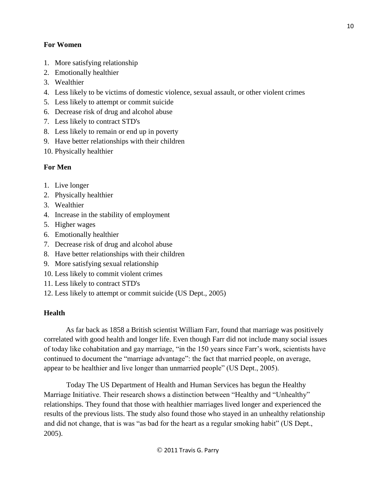## **For Women**

- 1. More satisfying relationship
- 2. Emotionally healthier
- 3. Wealthier
- 4. Less likely to be victims of domestic violence, sexual assault, or other violent crimes
- 5. Less likely to attempt or commit suicide
- 6. Decrease risk of drug and alcohol abuse
- 7. Less likely to contract STD's
- 8. Less likely to remain or end up in poverty
- 9. Have better relationships with their children
- 10. Physically healthier

## **For Men**

- 1. Live longer
- 2. Physically healthier
- 3. Wealthier
- 4. Increase in the stability of employment
- 5. Higher wages
- 6. Emotionally healthier
- 7. Decrease risk of drug and alcohol abuse
- 8. Have better relationships with their children
- 9. More satisfying sexual relationship
- 10. Less likely to commit violent crimes
- 11. Less likely to contract STD's
- 12. Less likely to attempt or commit suicide (US Dept., 2005)

## **Health**

As far back as 1858 a British scientist William Farr, found that marriage was positively correlated with good health and longer life. Even though Farr did not include many social issues of today like cohabitation and gay marriage, "in the 150 years since Farr's work, scientists have continued to document the "marriage advantage": the fact that married people, on average, appear to be healthier and live longer than unmarried people" (US Dept., 2005).

Today The US Department of Health and Human Services has begun the Healthy Marriage Initiative. Their research shows a distinction between "Healthy and "Unhealthy" relationships. They found that those with healthier marriages lived longer and experienced the results of the previous lists. The study also found those who stayed in an unhealthy relationship and did not change, that is was "as bad for the heart as a regular smoking habit" (US Dept., 2005).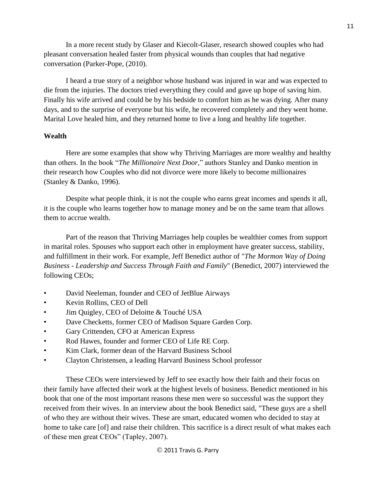In a more recent study by Glaser and Kiecolt-Glaser, research showed couples who had pleasant conversation healed faster from physical wounds than couples that had negative conversation (Parker-Pope, (2010).

I heard a true story of a neighbor whose husband was injured in war and was expected to die from the injuries. The doctors tried everything they could and gave up hope of saving him. Finally his wife arrived and could be by his bedside to comfort him as he was dying. After many days, and to the surprise of everyone but his wife, he recovered completely and they went home. Marital Love healed him, and they returned home to live a long and healthy life together.

## **Wealth**

Here are some examples that show why Thriving Marriages are more wealthy and healthy than others. In the book "*The Millionaire Next Door,*" authors Stanley and Danko mention in their research how Couples who did not divorce were more likely to become millionaires (Stanley & Danko, 1996).

Despite what people think, it is not the couple who earns great incomes and spends it all, it is the couple who learns together how to manage money and be on the same team that allows them to accrue wealth.

Part of the reason that Thriving Marriages help couples be wealthier comes from support in marital roles. Spouses who support each other in employment have greater success, stability, and fulfillment in their work. For example, Jeff Benedict author of "*The Mormon Way of Doing Business - Leadership and Success Through Faith and Family*" (Benedict, 2007) interviewed the following CEOs;

- David Neeleman, founder and CEO of JetBlue Airways
- Kevin Rollins, CEO of Dell
- Jim Quigley, CEO of Deloitte & Touché USA
- Dave Checketts, former CEO of Madison Square Garden Corp.
- Gary Crittenden, CFO at American Express
- Rod Hawes, founder and former CEO of Life RE Corp.
- Kim Clark, former dean of the Harvard Business School
- Clayton Christensen, a leading Harvard Business School professor

These CEOs were interviewed by Jeff to see exactly how their faith and their focus on their family have affected their work at the highest levels of business. Benedict mentioned in his book that one of the most important reasons these men were so successful was the support they received from their wives. In an interview about the book Benedict said, "These guys are a shell of who they are without their wives. These are smart, educated women who decided to stay at home to take care [of] and raise their children. This sacrifice is a direct result of what makes each of these men great CEOs" (Tapley, 2007).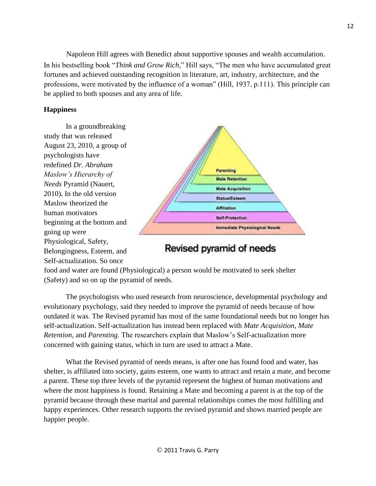Napoleon Hill agrees with Benedict about supportive spouses and wealth accumulation. In his bestselling book "*Think and Grow Rich,*" Hill says, "The men who have accumulated great fortunes and achieved outstanding recognition in literature, art, industry, architecture, and the professions, were motivated by the influence of a woman" (Hill, 1937, p.111). This principle can be applied to both spouses and any area of life.

## **Happiness**

In a groundbreaking study that was released August 23, 2010, a group of psychologists have redefined *Dr. Abraham Maslow's Hierarchy of Needs* Pyramid (Nauert, 2010)**.** In the old version Maslow theorized the human motivators beginning at the bottom and going up were Physiological, Safety, Belongingness, Esteem, and Self-actualization. So once



# Revised pyramid of needs

food and water are found (Physiological) a person would be motivated to seek shelter (Safety) and so on up the pyramid of needs.

The psychologists who used research from neuroscience, developmental psychology and evolutionary psychology, said they needed to improve the pyramid of needs because of how outdated it was. The Revised pyramid has most of the same foundational needs but no longer has self-actualization. Self-actualization has instead been replaced with *Mate Acquisition, Mate Retention,* and *Parenting.* The researchers explain that Maslow's Self-actualization more concerned with gaining status, which in turn are used to attract a Mate.

What the Revised pyramid of needs means, is after one has found food and water, has shelter, is affiliated into society, gains esteem, one wants to attract and retain a mate, and become a parent. These top three levels of the pyramid represent the highest of human motivations and where the most happiness is found. Retaining a Mate and becoming a parent is at the top of the pyramid because through these marital and parental relationships comes the most fulfilling and happy experiences. Other research supports the revised pyramid and shows married people are happier people.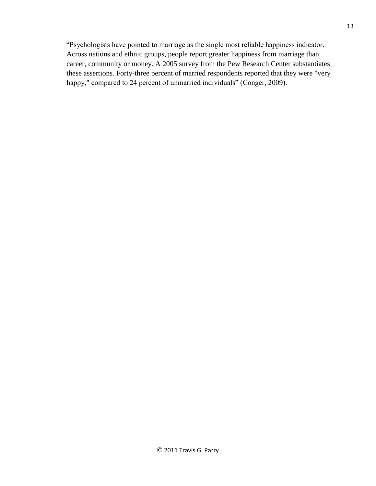"Psychologists have pointed to marriage as the single most reliable happiness indicator. Across nations and ethnic groups, people report greater happiness from marriage than career, community or money. A 2005 survey from the Pew Research Center substantiates these assertions. Forty-three percent of married respondents reported that they were "very happy," compared to 24 percent of unmarried individuals" (Conger, 2009).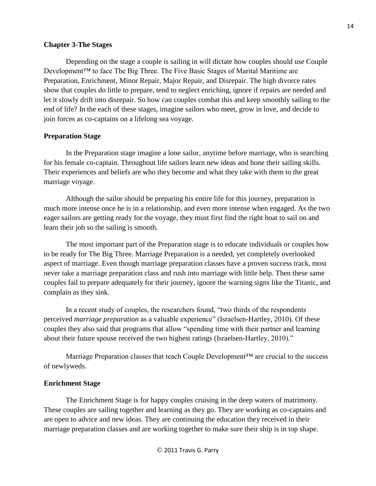#### **Chapter 3-The Stages**

Depending on the stage a couple is sailing in will dictate how couples should use Couple Development<sup>™</sup> to face The Big Three. The Five Basic Stages of Marital Maritime are Preparation, Enrichment, Minor Repair, Major Repair, and Disrepair. The high divorce rates show that couples do little to prepare, tend to neglect enriching, ignore if repairs are needed and let it slowly drift into disrepair. So how can couples combat this and keep smoothly sailing to the end of life? In the each of these stages, imagine sailors who meet, grow in love, and decide to join forces as co-captains on a lifelong sea voyage.

#### **Preparation Stage**

In the Preparation stage imagine a lone sailor, anytime before marriage, who is searching for his female co-captain. Throughout life sailors learn new ideas and hone their sailing skills. Their experiences and beliefs are who they become and what they take with them to the great marriage voyage.

Although the sailor should be preparing his entire life for this journey, preparation is much more intense once he is in a relationship, and even more intense when engaged. As the two eager sailors are getting ready for the voyage, they must first find the right boat to sail on and learn their job so the sailing is smooth.

The most important part of the Preparation stage is to educate individuals or couples how to be ready for The Big Three. Marriage Preparation is a needed, yet completely overlooked aspect of marriage. Even though marriage preparation classes have a proven success track, most never take a marriage preparation class and rush into marriage with little help. Then these same couples fail to prepare adequately for their journey, ignore the warning signs like the Titanic, and complain as they sink.

In a recent study of couples, the researchers found, "two thirds of the respondents perceived *marriage preparation* as a valuable experience" (Israelsen-Hartley, 2010). Of these couples they also said that programs that allow "spending time with their partner and learning about their future spouse received the two highest ratings (Israelsen-Hartley, 2010)."

Marriage Preparation classes that teach Couple Development™ are crucial to the success of newlyweds.

#### **Enrichment Stage**

The Enrichment Stage is for happy couples cruising in the deep waters of matrimony. These couples are sailing together and learning as they go. They are working as co-captains and are open to advice and new ideas. They are continuing the education they received in their marriage preparation classes and are working together to make sure their ship is in top shape.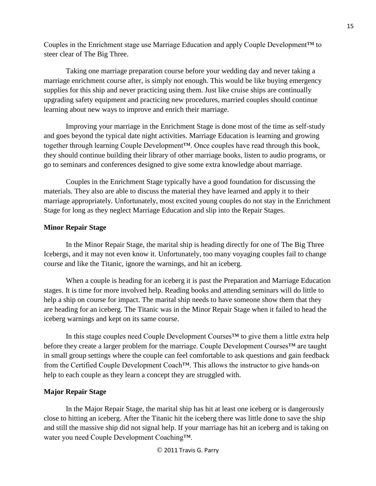Couples in the Enrichment stage use Marriage Education and apply Couple Development™ to steer clear of The Big Three.

Taking one marriage preparation course before your wedding day and never taking a marriage enrichment course after, is simply not enough. This would be like buying emergency supplies for this ship and never practicing using them. Just like cruise ships are continually upgrading safety equipment and practicing new procedures, married couples should continue learning about new ways to improve and enrich their marriage.

Improving your marriage in the Enrichment Stage is done most of the time as self-study and goes beyond the typical date night activities. Marriage Education is learning and growing together through learning Couple Development™. Once couples have read through this book, they should continue building their library of other marriage books, listen to audio programs, or go to seminars and conferences designed to give some extra knowledge about marriage.

Couples in the Enrichment Stage typically have a good foundation for discussing the materials. They also are able to discuss the material they have learned and apply it to their marriage appropriately. Unfortunately, most excited young couples do not stay in the Enrichment Stage for long as they neglect Marriage Education and slip into the Repair Stages.

## **Minor Repair Stage**

In the Minor Repair Stage, the marital ship is heading directly for one of The Big Three Icebergs, and it may not even know it. Unfortunately, too many voyaging couples fail to change course and like the Titanic, ignore the warnings, and hit an iceberg.

When a couple is heading for an iceberg it is past the Preparation and Marriage Education stages. It is time for more involved help. Reading books and attending seminars will do little to help a ship on course for impact. The marital ship needs to have someone show them that they are heading for an iceberg. The Titanic was in the Minor Repair Stage when it failed to head the iceberg warnings and kept on its same course.

In this stage couples need Couple Development Courses™ to give them a little extra help before they create a larger problem for the marriage. Couple Development Courses™ are taught in small group settings where the couple can feel comfortable to ask questions and gain feedback from the Certified Couple Development Coach™. This allows the instructor to give hands-on help to each couple as they learn a concept they are struggled with.

## **Major Repair Stage**

In the Major Repair Stage, the marital ship has hit at least one iceberg or is dangerously close to hitting an iceberg. After the Titanic hit the iceberg there was little done to save the ship and still the massive ship did not signal help. If your marriage has hit an iceberg and is taking on water you need Couple Development Coaching™.

© 2011 Travis G. Parry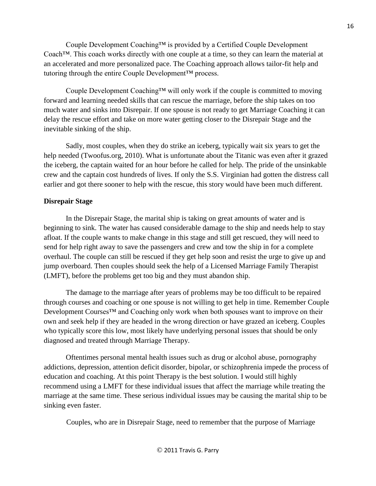Couple Development Coaching™ is provided by a Certified Couple Development Coach™. This coach works directly with one couple at a time, so they can learn the material at an accelerated and more personalized pace. The Coaching approach allows tailor-fit help and tutoring through the entire Couple Development™ process.

Couple Development Coaching™ will only work if the couple is committed to moving forward and learning needed skills that can rescue the marriage, before the ship takes on too much water and sinks into Disrepair. If one spouse is not ready to get [Marriage Coaching](http://www.travisparry.com/coaching) [i](http://www.travisparry.com/coaching)t can delay the rescue effort and take on more water getting closer to the Disrepair Stage and the inevitable sinking of the ship.

Sadly, most couples, when they do strike an iceberg, typically wait six years to get the help needed (Twoofus.org, 2010). What is unfortunate about the Titanic was even after it grazed the iceberg, the captain waited for an hour before he called for help. The pride of the unsinkable crew and the captain cost hundreds of lives. If only the S.S. Virginian had gotten the distress call earlier and got there sooner to help with the rescue, this story would have been much different.

## **Disrepair Stage**

In the Disrepair Stage, the marital ship is taking on great amounts of water and is beginning to sink. The water has caused considerable damage to the ship and needs help to stay afloat. If the couple wants to make change in this stage and still get rescued, they will need to send for help right away to save the passengers and crew and tow the ship in for a complete overhaul. The couple can still be rescued if they get help soon and resist the urge to give up and jump overboard. Then couples should seek the help of a Licensed Marriage Family Therapist (LMFT), before the problems get too big and they must abandon ship.

The damage to the marriage after years of problems may be too difficult to be repaired through courses and coaching or one spouse is not willing to get help in time. Remember Couple Development Courses<sup>™</sup> and Coaching only work when both spouses want to improve on their own and seek help if they are headed in the wrong direction or have grazed an iceberg. Couples who typically score this low, most likely have underlying personal issues that should be only diagnosed and treated through Marriage Therapy.

Oftentimes personal mental health issues such as drug or alcohol abuse, pornography addictions, depression, attention deficit disorder, bipolar, or schizophrenia impede the process of education and coaching. At this point Therapy is the best solution. I would still highly recommend using a LMFT for these individual issues that affect the marriage while treating the marriage at the same time. These serious individual issues may be causing the marital ship to be sinking even faster.

Couples, who are in Disrepair Stage, need to remember that the purpose of Marriage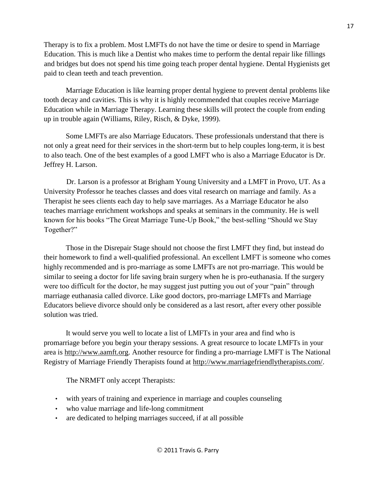Therapy is to fix a problem. Most LMFTs do not have the time or desire to spend in Marriage Education. This is much like a Dentist who makes time to perform the dental repair like fillings and bridges but does not spend his time going teach proper dental hygiene. Dental Hygienists get paid to clean teeth and teach prevention.

Marriage Education is like learning proper dental hygiene to prevent dental problems like tooth decay and cavities. This is why it is highly recommended that couples receive Marriage Education while in Marriage Therapy. Learning these skills will protect the couple from ending up in trouble again (Williams, Riley, Risch, & Dyke, 1999).

Some LMFTs are also Marriage Educators. These professionals understand that there is not only a great need for their services in the short-term but to help couples long-term, it is best to also teach. One of the best examples of a good LMFT who is also a Marriage Educator is Dr. Jeffrey H. Larson.

Dr. Larson is a professor at Brigham Young University and a LMFT in Provo, UT. As a University Professor he teaches classes and does vital research on marriage and family. As a Therapist he sees clients each day to help save marriages. As a Marriage Educator he also teaches marriage enrichment workshops and speaks at seminars in the community. He is well known for his books "The Great Marriage Tune-Up Book," the best-selling "Should we Stay Together?"

Those in the Disrepair Stage should not choose the first LMFT they find, but instead do their homework to find a well-qualified professional. An excellent LMFT is someone who comes highly recommended and is pro-marriage as some LMFTs are not pro-marriage. This would be similar to seeing a doctor for life saving brain surgery when he is pro-euthanasia. If the surgery were too difficult for the doctor, he may suggest just putting you out of your "pain" through marriage euthanasia called divorce. Like good doctors, pro-marriage LMFTs and Marriage Educators believe divorce should only be considered as a last resort, after every other possible solution was tried.

It would serve you well to locate a list of LMFTs in your area and find who is promarriage before you begin your therapy sessions. A great resource to locate LMFTs in your area is [http://www.aamft.org.](http://www.aamft.org/) Another resource for finding a pro-marriage LMFT is The National Registry of Marriage Friendly Therapists found at [http://www.marriagefriendlytherapists.com/.](http://www.marriagefriendlytherapists.com/)

The NRMFT only accept Therapists:

- with [years of training and experience in marriage and couples counseling](http://www.marriagefriendlytherapists.com/cfaq_competent_therapists.php)
- who value marriage and life-long commitment
- are dedicated to helping marriages succeed, if at all possible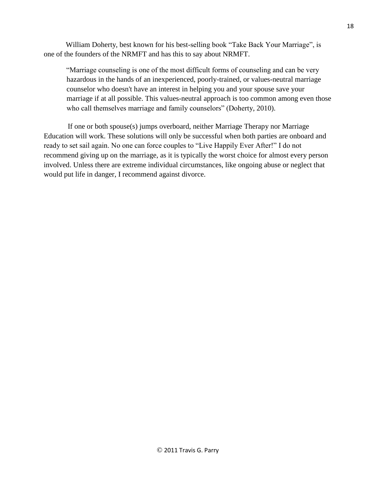William Doherty, best known for his best-selling book "Take Back Your Marriage", is one of the founders of the NRMFT and has this to say about NRMFT.

"Marriage counseling is one of the most difficult forms of counseling and can be very hazardous in the hands of an inexperienced, poorly-trained, or values-neutral marriage counselor who doesn't have an interest in helping you and your spouse save your marriage if at all possible. This [values-neutral approach](http://www.marriagefriendlytherapists.com/cfaq_marriage_worth_saving.php) is too common among even those who call themselves marriage and family counselors" (Doherty, 2010).

If one or both spouse(s) jumps overboard, neither [Marriage Therapy](http://www.therapistlocator.net/) nor Marriage Education will work. These solutions will only be successful when both parties are onboard and ready to set sail again. No one can force couples to "Live Happily Ever After!" I do not recommend giving up on the marriage, as it is typically the worst choice for almost every person involved. Unless there are extreme individual circumstances, like ongoing abuse or neglect that would put life in danger, I recommend against divorce.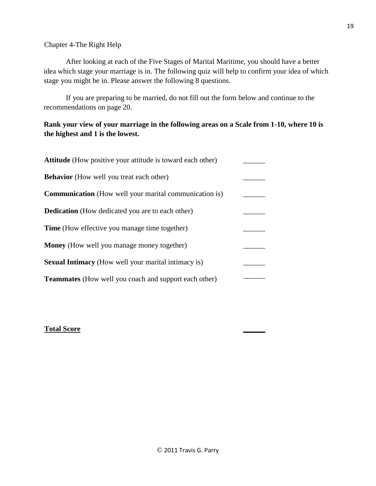## Chapter 4-The Right Help

After looking at each of the Five Stages of Marital Maritime, you should have a better idea which stage your marriage is in. The following quiz will help to confirm your idea of which stage you might be in. Please answer the following 8 questions.

If you are preparing to be married, do not fill out the form below and continue to the recommendations on page 20.

## **Rank your view of your marriage in the following areas on a Scale from 1-10, where 10 is the highest and 1 is the lowest.**

| <b>Attitude</b> (How positive your attitude is toward each other) |  |
|-------------------------------------------------------------------|--|
| <b>Behavior</b> (How well you treat each other)                   |  |
| <b>Communication</b> (How well your marital communication is)     |  |
| <b>Dedication</b> (How dedicated you are to each other)           |  |
| <b>Time</b> (How effective you manage time together)              |  |
| <b>Money</b> (How well you manage money together)                 |  |
| <b>Sexual Intimacy</b> (How well your marital intimacy is)        |  |
| <b>Teammates</b> (How well you coach and support each other)      |  |

## **Total Score \_\_\_\_\_\_**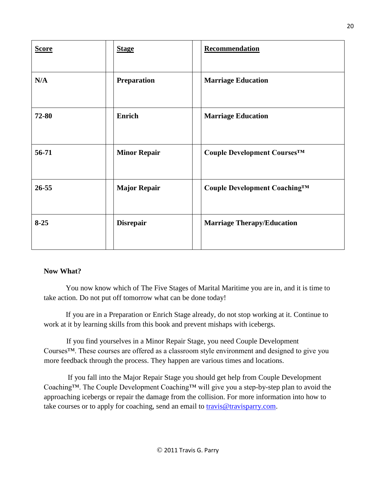| <b>Score</b> | <b>Stage</b>        | Recommendation                    |
|--------------|---------------------|-----------------------------------|
| N/A          | <b>Preparation</b>  | <b>Marriage Education</b>         |
| 72-80        | <b>Enrich</b>       | <b>Marriage Education</b>         |
| 56-71        | <b>Minor Repair</b> | Couple Development Courses™       |
| $26 - 55$    | <b>Major Repair</b> | Couple Development Coaching™      |
| $8 - 25$     | <b>Disrepair</b>    | <b>Marriage Therapy/Education</b> |

## **Now What?**

You now know which of The Five Stages of Marital Maritime you are in, and it is time to take action. Do not put off tomorrow what can be done today!

If you are in a Preparation or Enrich Stage already, do not stop working at it. Continue to work at it by learning skills from this book and prevent mishaps with icebergs.

If you find yourselves in a Minor Repair Stage, you need Couple Development Courses™. These courses are offered as a classroom style environment and designed to give you more feedback through the process. They happen are various times and locations.

If you fall into the Major Repair Stage you should get help from Couple Development Coaching™. The Couple Development Coaching™ will give you a step-by-step plan to avoid the approaching icebergs or repair the damage from the collision. For more information into how to take courses or to apply for coaching, send an email to travis@travisparry.com.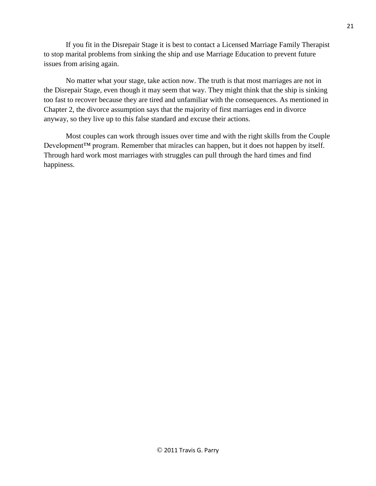If you fit in the Disrepair Stage it is best to contact a Licensed Marriage Family Therapist to stop marital problems from sinking the ship and use [Marriage Education](http://www.coupledevelopment.com/) to prevent future issues from arising again.

No matter what your stage, take action now. The truth is that most marriages are not in the Disrepair Stage, even though it may seem that way. They might think that the ship is sinking too fast to recover because they are tired and unfamiliar with the consequences. As mentioned in Chapter 2, the divorce assumption says that the majority of first marriages end in divorce anyway, so they live up to this false standard and excuse their actions.

Most couples can work through issues over time and with the right skills from the Couple Development<sup>™</sup> program. Remember that miracles can happen, but it does not happen by itself. Through hard work most marriages with struggles can pull through the hard times and find happiness.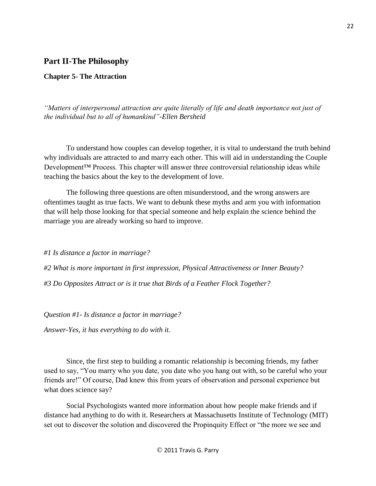## **Part II-The Philosophy**

#### **Chapter 5- The Attraction**

*"Matters of interpersonal attraction are quite literally of life and death importance not just of the individual but to all of humankind"-Ellen Bersheid* 

To understand how couples can develop together, it is vital to understand the truth behind why individuals are attracted to and marry each other. This will aid in understanding the Couple Development™ Process. This chapter will answer three controversial relationship ideas while teaching the basics about the key to the development of love.

The following three questions are often misunderstood, and the wrong answers are oftentimes taught as true facts. We want to debunk these myths and arm you with information that will help those looking for that special someone and help explain the science behind the marriage you are already working so hard to improve.

*#1 Is distance a factor in marriage?* 

*#2 What is more important in first impression, Physical Attractiveness or Inner Beauty? #3 Do Opposites Attract or is it true that Birds of a Feather Flock Together?* 

*Question #1- Is distance a factor in marriage?* 

*Answer-Yes, it has everything to do with it.* 

Since, the first step to building a romantic relationship is becoming friends, my father used to say, "You marry who you date, you date who you hang out with, so be careful who your friends are!" Of course, Dad knew this from years of observation and personal experience but what does science say?

Social Psychologists wanted more information about how people make friends and if distance had anything to do with it. Researchers at Massachusetts Institute of Technology (MIT) set out to discover the solution and discovered the Propinquity Effect or "the more we see and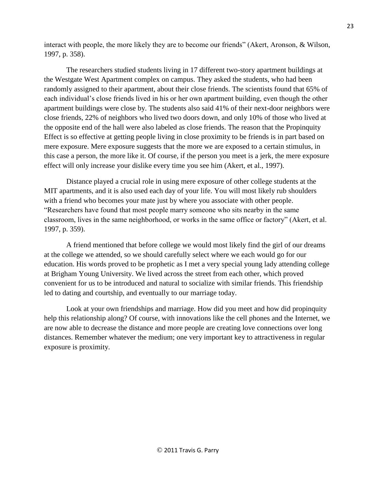interact with people, the more likely they are to become our friends" (Akert, Aronson, & Wilson, 1997, p. 358).

The researchers studied students living in 17 different two-story apartment buildings at the Westgate West Apartment complex on campus. They asked the students, who had been randomly assigned to their apartment, about their close friends. The scientists found that 65% of each individual's close friends lived in his or her own apartment building, even though the other apartment buildings were close by. The students also said 41% of their next-door neighbors were close friends, 22% of neighbors who lived two doors down, and only 10% of those who lived at the opposite end of the hall were also labeled as close friends. The reason that the Propinquity Effect is so effective at getting people living in close proximity to be friends is in part based on mere exposure. Mere exposure suggests that the more we are exposed to a certain stimulus, in this case a person, the more like it. Of course, if the person you meet is a jerk, the mere exposure effect will only increase your dislike every time you see him (Akert, et al., 1997).

Distance played a crucial role in using mere exposure of other college students at the MIT apartments, and it is also used each day of your life. You will most likely rub shoulders with a friend who becomes your mate just by where you associate with other people. "Researchers have found that most people marry someone who sits nearby in the same classroom, lives in the same neighborhood, or works in the same office or factory" (Akert, et al. 1997, p. 359).

A friend mentioned that before college we would most likely find the girl of our dreams at the college we attended, so we should carefully select where we each would go for our education. His words proved to be prophetic as I met a very special young lady attending college at Brigham Young University. We lived across the street from each other, which proved convenient for us to be introduced and natural to socialize with similar friends. This friendship led to dating and courtship, and eventually to our marriage today.

Look at your own friendships and marriage. How did you meet and how did propinquity help this relationship along? Of course, with innovations like the cell phones and the Internet, we are now able to decrease the distance and more people are creating love connections over long distances. Remember whatever the medium; one very important key to attractiveness in regular exposure is proximity.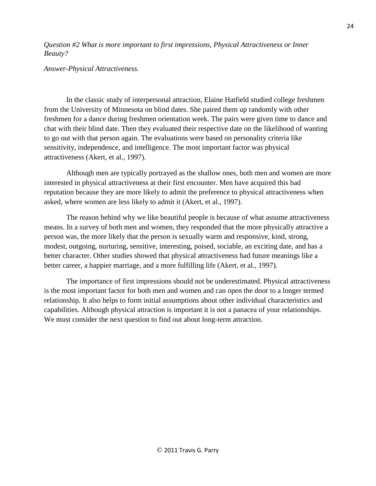*Question #2 What is more important to first impressions, Physical Attractiveness or Inner Beauty?* 

*Answer-Physical Attractiveness.* 

In the classic study of interpersonal attraction, Elaine Hatfield studied college freshmen from the University of Minnesota on blind dates. She paired them up randomly with other freshmen for a dance during freshmen orientation week. The pairs were given time to dance and chat with their blind date. Then they evaluated their respective date on the likelihood of wanting to go out with that person again. The evaluations were based on personality criteria like sensitivity, independence, and intelligence. The most important factor was physical attractiveness (Akert, et al., 1997).

Although men are typically portrayed as the shallow ones, both men and women are more interested in physical attractiveness at their first encounter. Men have acquired this bad reputation because they are more likely to admit the preference to physical attractiveness when asked, where women are less likely to admit it (Akert, et al., 1997).

The reason behind why we like beautiful people is because of what assume attractiveness means. In a survey of both men and women, they responded that the more physically attractive a person was, the more likely that the person is sexually warm and responsive, kind, strong, modest, outgoing, nurturing, sensitive, interesting, poised, sociable, an exciting date, and has a better character. Other studies showed that physical attractiveness had future meanings like a better career, a happier marriage, and a more fulfilling life (Akert, et al., 1997).

The importance of first impressions should not be underestimated. Physical attractiveness is the most important factor for both men and women and can open the door to a longer termed relationship. It also helps to form initial assumptions about other individual characteristics and capabilities. Although physical attraction is important it is not a panacea of your relationships. We must consider the next question to find out about long-term attraction.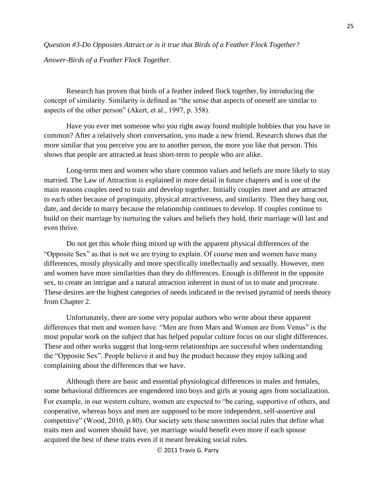*Question #3-Do Opposites Attract or is it true that Birds of a Feather Flock Together?* 

*Answer-Birds of a Feather Flock Together.* 

Research has proven that birds of a feather indeed flock together, by introducing the concept of similarity. Similarity is defined as "the sense that aspects of oneself are similar to aspects of the other person" (Akert, et al., 1997, p. 358).

Have you ever met someone who you right away found multiple hobbies that you have in common? After a relatively short conversation, you made a new friend. Research shows that the more similar that you perceive you are to another person, the more you like that person. This shows that people are attracted at least short-term to people who are alike.

Long-term men and women who share common values and beliefs are more likely to stay married. The Law of Attraction is explained in more detail in future chapters and is one of the main reasons couples need to train and develop together. Initially couples meet and are attracted to each other because of propinquity, physical attractiveness, and similarity. Then they hang out, date, and decide to marry because the relationship continues to develop. If couples continue to build on their marriage by nurturing the values and beliefs they hold, their marriage will last and even thrive.

Do not get this whole thing mixed up with the apparent physical differences of the "Opposite Sex" as that is not we are trying to explain. Of course men and women have many differences, mostly physically and more specifically intellectually and sexually. However, men and women have more similarities than they do differences. Enough is different in the opposite sex, to create an intrigue and a natural attraction inherent in most of us to mate and procreate. These desires are the highest categories of needs indicated in the revised pyramid of needs theory from Chapter 2.

Unfortunately, there are some very popular authors who write about these apparent differences that men and women have. "Men are from Mars and Women are from Venus" is the most popular work on the subject that has helped popular culture focus on our slight differences. These and other works suggest that long-term relationships are successful when understanding the "Opposite Sex". People believe it and buy the product because they enjoy talking and complaining about the differences that we have.

Although there are basic and essential physiological differences in males and females, some behavioral differences are engendered into boys and girls at young ages from socialization. For example, in our western culture, women are expected to "be caring, supportive of others, and cooperative, whereas boys and men are supposed to be more independent, self-assertive and competitive" (Wood, 2010, p.80). Our society sets these unwritten social rules that define what traits men and women should have, yet marriage would benefit even more if each spouse acquired the best of these traits even if it meant breaking social rules.

© 2011 Travis G. Parry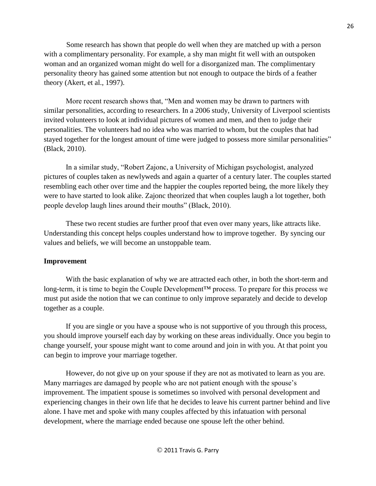Some research has shown that people do well when they are matched up with a person with a complimentary personality. For example, a shy man might fit well with an outspoken woman and an organized woman might do well for a disorganized man. The complimentary personality theory has gained some attention but not enough to outpace the birds of a feather theory (Akert, et al., 1997).

More recent research shows that, "Men and women may be drawn to partners with similar personalities, according to researchers. In a 2006 study, University of Liverpool scientists invited volunteers to look at individual pictures of women and men, and then to judge their personalities. The volunteers had no idea who was married to whom, but the couples that had stayed together for the longest amount of time were judged to possess more similar personalities" (Black, 2010).

In a similar study, "Robert Zajonc, a University of Michigan psychologist, analyzed pictures of couples taken as newlyweds and again a quarter of a century later. The couples started resembling each other over time and the happier the couples reported being, the more likely they were to have started to look alike. Zajonc theorized that when couples laugh a lot together, both people develop laugh lines around their mouths" (Black, 2010).

These two recent studies are further proof that even over many years, like attracts like. Understanding this concept helps couples understand how to improve together. By syncing our values and beliefs, we will become an unstoppable team.

## **Improvement**

With the basic explanation of why we are attracted each other, in both the short-term and long-term, it is time to begin the Couple Development<sup>™</sup> process. To prepare for this process we must put aside the notion that we can continue to only improve separately and decide to develop together as a couple.

If you are single or you have a spouse who is not supportive of you through this process, you should improve yourself each day by working on these areas individually. Once you begin to change yourself, your spouse might want to come around and join in with you. At that point you can begin to improve your marriage together.

However, do not give up on your spouse if they are not as motivated to learn as you are. Many marriages are damaged by people who are not patient enough with the spouse's improvement. The impatient spouse is sometimes so involved with personal development and experiencing changes in their own life that he decides to leave his current partner behind and live alone. I have met and spoke with many couples affected by this infatuation with personal development, where the marriage ended because one spouse left the other behind.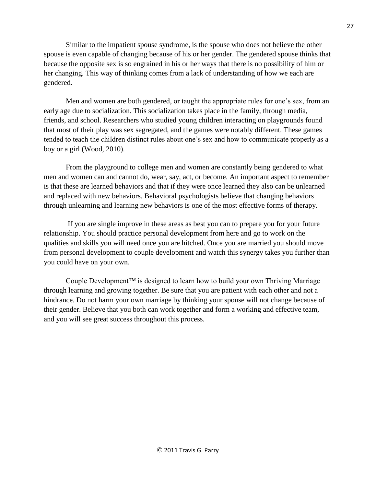Similar to the impatient spouse syndrome, is the spouse who does not believe the other spouse is even capable of changing because of his or her gender. The gendered spouse thinks that because the opposite sex is so engrained in his or her ways that there is no possibility of him or her changing. This way of thinking comes from a lack of understanding of how we each are gendered.

Men and women are both gendered, or taught the appropriate rules for one's sex, from an early age due to socialization. This socialization takes place in the family, through media, friends, and school. Researchers who studied young children interacting on playgrounds found that most of their play was sex segregated, and the games were notably different. These games tended to teach the children distinct rules about one's sex and how to communicate properly as a boy or a girl (Wood, 2010).

From the playground to college men and women are constantly being gendered to what men and women can and cannot do, wear, say, act, or become. An important aspect to remember is that these are learned behaviors and that if they were once learned they also can be unlearned and replaced with new behaviors. Behavioral psychologists believe that changing behaviors through unlearning and learning new behaviors is one of the most effective forms of therapy.

If you are single improve in these areas as best you can to prepare you for your future relationship. You should practice personal development from here and go to work on the qualities and skills you will need once you are hitched. Once you are married you should move from personal development to couple development and watch this synergy takes you further than you could have on your own.

Couple Development™ is designed to learn how to build your own Thriving Marriage through learning and growing together. Be sure that you are patient with each other and not a hindrance. Do not harm your own marriage by thinking your spouse will not change because of their gender. Believe that you both can work together and form a working and effective team, and you will see great success throughout this process.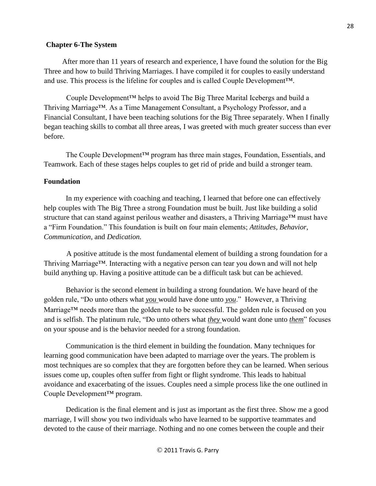### **Chapter 6-The System**

 After more than 11 years of research and experience, I have found the solution for the Big Three and how to build Thriving Marriages. I have compiled it for couples to easily understand and use. This process is the lifeline for couples and is called Couple Development™.

Couple Development™ helps to avoid The Big Three Marital Icebergs and build a Thriving Marriage™. As a Time Management Consultant, a Psychology Professor, and a Financial Consultant, I have been teaching solutions for the Big Three separately. When I finally began teaching skills to combat all three areas, I was greeted with much greater success than ever before.

The Couple Development™ program has three main stages, Foundation, Essentials, and Teamwork. Each of these stages helps couples to get rid of pride and build a stronger team.

### **Foundation**

In my experience with coaching and teaching, I learned that before one can effectively help couples with The Big Three a strong Foundation must be built. Just like building a solid structure that can stand against perilous weather and disasters, a Thriving Marriage™ must have a "Firm Foundation." This foundation is built on four main elements; *Attitudes, Behavior, Communication*, and *Dedication.*

A positive attitude is the most fundamental element of building a strong foundation for a Thriving Marriage™. Interacting with a negative person can tear you down and will not help build anything up. Having a positive attitude can be a difficult task but can be achieved.

Behavior is the second element in building a strong foundation. We have heard of the golden rule, "Do unto others what *you* would have done unto *you*." However, a Thriving Marriage<sup>TM</sup> needs more than the golden rule to be successful. The golden rule is focused on you and is selfish. The platinum rule, "Do unto others what *they* would want done unto *them*" focuses on your spouse and is the behavior needed for a strong foundation.

Communication is the third element in building the foundation. Many techniques for learning good communication have been adapted to marriage over the years. The problem is most techniques are so complex that they are forgotten before they can be learned. When serious issues come up, couples often suffer from fight or flight syndrome. This leads to habitual avoidance and exacerbating of the issues. Couples need a simple process like the one outlined in Couple Development™ program.

Dedication is the final element and is just as important as the first three. Show me a good marriage, I will show you two individuals who have learned to be supportive teammates and devoted to the cause of their marriage. Nothing and no one comes between the couple and their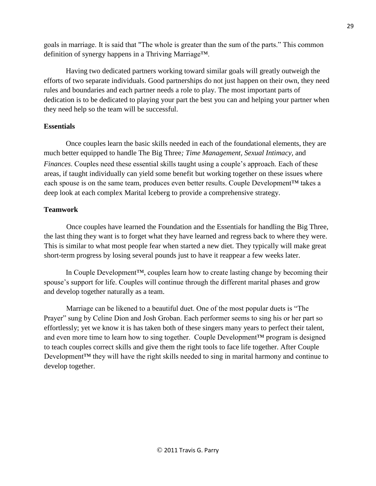goals in marriage. It is said that "The whole is greater than the sum of the parts." This common definition of synergy happens in a Thriving Marriage™.

Having two dedicated partners working toward similar goals will greatly outweigh the efforts of two separate individuals. Good partnerships do not just happen on their own, they need rules and boundaries and each partner needs a role to play. The most important parts of dedication is to be dedicated to playing your part the best you can and helping your partner when they need help so the team will be successful.

## **Essentials**

Once couples learn the basic skills needed in each of the foundational elements, they are much better equipped to handle The Big Three*; Time Management, Sexual Intimacy,* and *Finances*. Couples need these essential skills taught using a couple's approach. Each of these areas, if taught individually can yield some benefit but working together on these issues where each spouse is on the same team, produces even better results. Couple Development™ takes a deep look at each complex Marital Iceberg to provide a comprehensive strategy.

## **Teamwork**

 Once couples have learned the Foundation and the Essentials for handling the Big Three, the last thing they want is to forget what they have learned and regress back to where they were. This is similar to what most people fear when started a new diet. They typically will make great short-term progress by losing several pounds just to have it reappear a few weeks later.

In Couple Development™, couples learn how to create lasting change by becoming their spouse's support for life. Couples will continue through the different marital phases and grow and develop together naturally as a team.

Marriage can be likened to a beautiful duet. One of the most popular duets is "The Prayer" sung by Celine Dion and Josh Groban. Each performer seems to sing his or her part so effortlessly; yet we know it is has taken both of these singers many years to perfect their talent, and even more time to learn how to sing together. Couple Development™ program is designed to teach couples correct skills and give them the right tools to face life together. After Couple Development<sup>™</sup> they will have the right skills needed to sing in marital harmony and continue to develop together.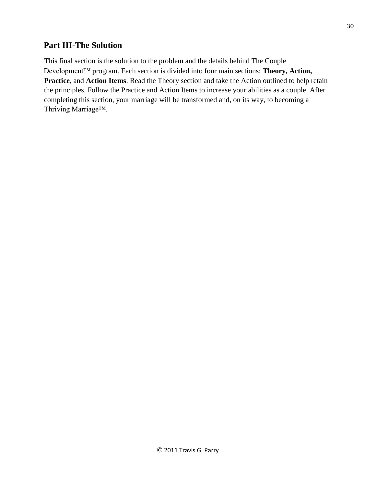## **Part III-The Solution**

This final section is the solution to the problem and the details behind The Couple Development™ program. Each section is divided into four main sections; **Theory, Action, Practice**, and **Action Items**. Read the Theory section and take the Action outlined to help retain the principles. Follow the Practice and Action Items to increase your abilities as a couple. After completing this section, your marriage will be transformed and, on its way, to becoming a Thriving Marriage™.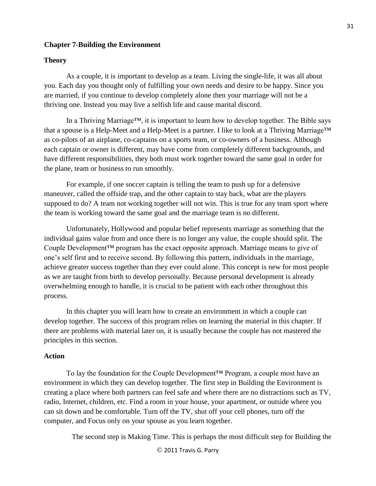#### **Chapter 7-Building the Environment**

#### **Theory**

As a couple, it is important to develop as a team. Living the single-life, it was all about you. Each day you thought only of fulfilling your own needs and desire to be happy. Since you are married, if you continue to develop completely alone then your marriage will not be a thriving one. Instead you may live a selfish life and cause marital discord.

In a Thriving Marriage™, it is important to learn how to develop together. The Bible says that a spouse is a Help-Meet and a Help-Meet is a partner. I like to look at a Thriving Marriage™ as co-pilots of an airplane, co-captains on a sports team, or co-owners of a business. Although each captain or owner is different, may have come from completely different backgrounds, and have different responsibilities, they both must work together toward the same goal in order for the plane, team or business to run smoothly.

For example, if one soccer captain is telling the team to push up for a defensive maneuver, called the offside trap, and the other captain to stay back, what are the players supposed to do? A team not working together will not win. This is true for any team sport where the team is working toward the same goal and the marriage team is no different.

Unfortunately, Hollywood and popular belief represents marriage as something that the individual gains value from and once there is no longer any value, the couple should split. The Couple Development™ program has the exact opposite approach. Marriage means to give of one's self first and to receive second. By following this pattern, individuals in the marriage, achieve greater success together than they ever could alone. This concept is new for most people as we are taught from birth to develop personally. Because personal development is already overwhelming enough to handle, it is crucial to be patient with each other throughout this process.

In this chapter you will learn how to create an environment in which a couple can develop together. The success of this program relies on learning the material in this chapter. If there are problems with material later on, it is usually because the couple has not mastered the principles in this section.

#### **Action**

To lay the foundation for the Couple Development™ Program, a couple most have an environment in which they can develop together. The first step in Building the Environment is creating a place where both partners can feel safe and where there are no distractions such as TV, radio, Internet, children, etc. Find a room in your house, your apartment, or outside where you can sit down and be comfortable. Turn off the TV, shut off your cell phones, turn off the computer, and Focus only on your spouse as you learn together.

The second step is Making Time. This is perhaps the most difficult step for Building the

© 2011 Travis G. Parry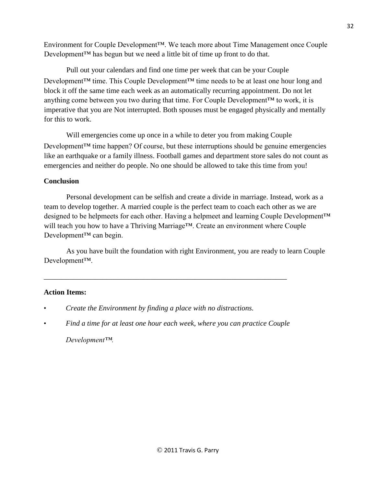Environment for Couple Development™. We teach more about Time Management once Couple Development™ has begun but we need a little bit of time up front to do that.

Pull out your calendars and find one time per week that can be your Couple Development<sup>™</sup> time. This Couple Development™ time needs to be at least one hour long and block it off the same time each week as an automatically recurring appointment. Do not let anything come between you two during that time. For Couple Development<sup> $TM$ </sup> to work, it is imperative that you are Not interrupted. Both spouses must be engaged physically and mentally for this to work.

Will emergencies come up once in a while to deter you from making Couple Development<sup>™</sup> time happen? Of course, but these interruptions should be genuine emergencies like an earthquake or a family illness. Football games and department store sales do not count as emergencies and neither do people. No one should be allowed to take this time from you!

## **Conclusion**

Personal development can be selfish and create a divide in marriage. Instead, work as a team to develop together. A married couple is the perfect team to coach each other as we are designed to be helpmeets for each other. Having a helpmeet and learning Couple Development™ will teach you how to have a Thriving Marriage™. Create an environment where Couple Development™ can begin.

As you have built the foundation with right Environment, you are ready to learn Couple Development™.

## **Action Items:**

- *Create the Environment by finding a place with no distractions.*
- *Find a time for at least one hour each week, where you can practice Couple Development™.*

\_\_\_\_\_\_\_\_\_\_\_\_\_\_\_\_\_\_\_\_\_\_\_\_\_\_\_\_\_\_\_\_\_\_\_\_\_\_\_\_\_\_\_\_\_\_\_\_\_\_\_\_\_\_\_\_\_\_\_\_\_\_\_\_\_\_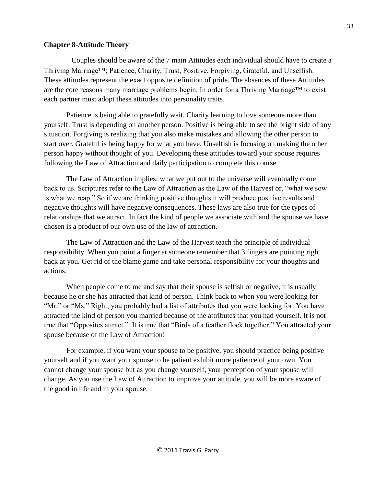#### **Chapter 8-Attitude Theory**

Couples should be aware of the 7 main Attitudes each individual should have to create a Thriving Marriage™; Patience, Charity, Trust, Positive, Forgiving, Grateful, and Unselfish. These attitudes represent the exact opposite definition of pride. The absences of these Attitudes are the core reasons many marriage problems begin. In order for a Thriving Marriage™ to exist each partner must adopt these attitudes into personality traits.

Patience is being able to gratefully wait. Charity learning to love someone more than yourself. Trust is depending on another person. Positive is being able to see the bright side of any situation. Forgiving is realizing that you also make mistakes and allowing the other person to start over. Grateful is being happy for what you have. Unselfish is focusing on making the other person happy without thought of you. Developing these attitudes toward your spouse requires following the Law of Attraction and daily participation to complete this course.

The Law of Attraction implies; what we put out to the universe will eventually come back to us. Scriptures refer to the Law of Attraction as the Law of the Harvest or, "what we sow is what we reap." So if we are thinking positive thoughts it will produce positive results and negative thoughts will have negative consequences. These laws are also true for the types of relationships that we attract. In fact the kind of people we associate with and the spouse we have chosen is a product of our own use of the law of attraction.

The Law of Attraction and the Law of the Harvest teach the principle of individual responsibility. When you point a finger at someone remember that 3 fingers are pointing right back at you. Get rid of the blame game and take personal responsibility for your thoughts and actions.

When people come to me and say that their spouse is selfish or negative, it is usually because he or she has attracted that kind of person. Think back to when you were looking for "Mr." or "Ms." Right, you probably had a list of attributes that you were looking for. You have attracted the kind of person you married because of the attributes that you had yourself. It is not true that "Opposites attract." It is true that "Birds of a feather flock together." You attracted your spouse because of the Law of Attraction!

For example, if you want your spouse to be positive, you should practice being positive yourself and if you want your spouse to be patient exhibit more patience of your own. You cannot change your spouse but as you change yourself, your perception of your spouse will change. As you use the Law of Attraction to improve your attitude, you will be more aware of the good in life and in your spouse.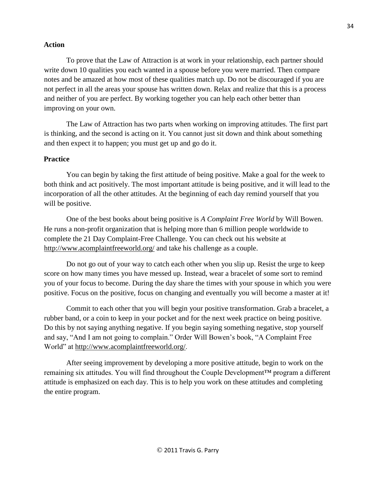### **Action**

To prove that the Law of Attraction is at work in your relationship, each partner should write down 10 qualities you each wanted in a spouse before you were married. Then compare notes and be amazed at how most of these qualities match up. Do not be discouraged if you are not perfect in all the areas your spouse has written down. Relax and realize that this is a process and neither of you are perfect. By working together you can help each other better than improving on your own.

The Law of Attraction has two parts when working on improving attitudes. The first part is thinking, and the second is acting on it. You cannot just sit down and think about something and then expect it to happen; you must get up and go do it.

## **Practice**

You can begin by taking the first attitude of being positive. Make a goal for the week to both think and act positively. The most important attitude is being positive, and it will lead to the incorporation of all the other attitudes. At the beginning of each day remind yourself that you will be positive.

One of the best books about being positive is *A Complaint Free World* by Will Bowen. He runs a non-profit organization that is helping more than 6 million people worldwide to complete the 21 Day Complaint-Free Challenge. You can check out his website at <http://www.acomplaintfreeworld.org/> and take his challenge as a couple.

Do not go out of your way to catch each other when you slip up. Resist the urge to keep score on how many times you have messed up. Instead, wear a bracelet of some sort to remind you of your focus to become. During the day share the times with your spouse in which you were positive. Focus on the positive, focus on changing and eventually you will become a master at it!

Commit to each other that you will begin your positive transformation. Grab a bracelet, a rubber band, or a coin to keep in your pocket and for the next week practice on being positive. Do this by not saying anything negative. If you begin saying something negative, stop yourself and say, "And I am not going to complain." Order Will Bowen's book, "A Complaint Free World" at<http://www.acomplaintfreeworld.org/>[.](http://www.acomplaintfreeworld.org/)

After seeing improvement by developing a more positive attitude, begin to work on the remaining six attitudes. You will find throughout the Couple Development™ program a different attitude is emphasized on each day. This is to help you work on these attitudes and completing the entire program.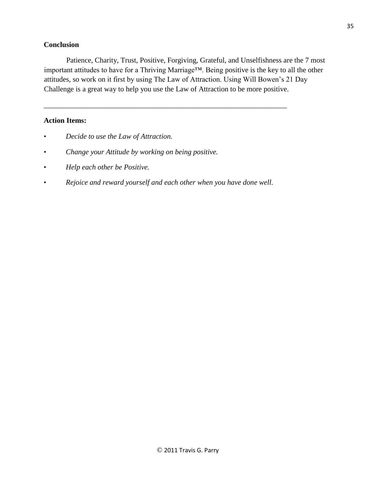## **Conclusion**

Patience, Charity, Trust, Positive, Forgiving, Grateful, and Unselfishness are the 7 most important attitudes to have for a Thriving Marriage™. Being positive is the key to all the other attitudes, so work on it first by using The Law of Attraction. Using Will Bowen's 21 Day Challenge is a great way to help you use the Law of Attraction to be more positive.

## **Action Items:**

- *Decide to use the Law of Attraction.*
- *Change your Attitude by working on being positive.*
- *Help each other be Positive.*
- *Rejoice and reward yourself and each other when you have done well.*

\_\_\_\_\_\_\_\_\_\_\_\_\_\_\_\_\_\_\_\_\_\_\_\_\_\_\_\_\_\_\_\_\_\_\_\_\_\_\_\_\_\_\_\_\_\_\_\_\_\_\_\_\_\_\_\_\_\_\_\_\_\_\_\_\_\_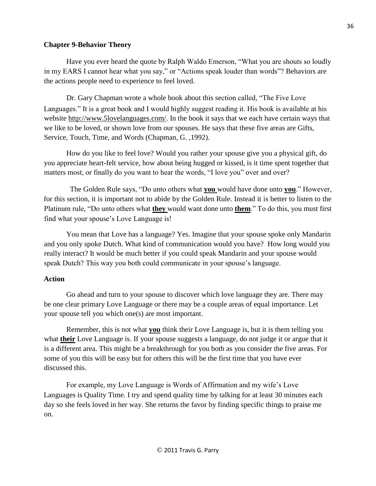## **Chapter 9-Behavior Theory**

Have you ever heard the quote by Ralph Waldo Emerson, "What you are shouts so loudly in my EARS I cannot hear what you say," or "Actions speak louder than words"? Behaviors are the actions people need to experience to feel loved.

Dr. Gary Chapman wrote a whole book about this section called, "The Five Love Languages." It is a great book and I would highly suggest reading it. His book is available at his website [http://www.5lovelanguages.com/.](http://www.5lovelanguages.com/) In the book it says that we each have certain ways that we like to be loved, or shown love from our spouses. He says that these five areas are Gifts, Service, Touch, Time, and Words (Chapman, G. ,1992).

How do you like to feel love? Would you rather your spouse give you a physical gift, do you appreciate heart-felt service, how about being hugged or kissed, is it time spent together that matters most, or finally do you want to hear the words, "I love you" over and over?

The Golden Rule says, "Do unto others what **you** would have done unto **you**." However, for this section, it is important not to abide by the Golden Rule. Instead it is better to listen to the Platinum rule, "Do unto others what **they** would want done unto **them**." To do this, you must first find what your spouse's Love Language is!

You mean that Love has a language? Yes. Imagine that your spouse spoke only Mandarin and you only spoke Dutch. What kind of communication would you have? How long would you really interact? It would be much better if you could speak Mandarin and your spouse would speak Dutch? This way you both could communicate in your spouse's language.

#### **Action**

Go ahead and turn to your spouse to discover which love language they are. There may be one clear primary Love Language or there may be a couple areas of equal importance. Let your spouse tell you which one(s) are most important.

Remember, this is not what **you** think their Love Language is, but it is them telling you what **their** Love Language is. If your spouse suggests a language, do not judge it or argue that it is a different area. This might be a breakthrough for you both as you consider the five areas. For some of you this will be easy but for others this will be the first time that you have ever discussed this.

For example, my Love Language is Words of Affirmation and my wife's Love Languages is Quality Time. I try and spend quality time by talking for at least 30 minutes each day so she feels loved in her way. She returns the favor by finding specific things to praise me on.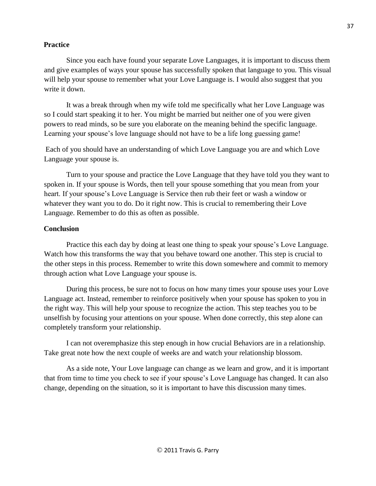### **Practice**

Since you each have found your separate Love Languages, it is important to discuss them and give examples of ways your spouse has successfully spoken that language to you. This visual will help your spouse to remember what your Love Language is. I would also suggest that you write it down.

It was a break through when my wife told me specifically what her Love Language was so I could start speaking it to her. You might be married but neither one of you were given powers to read minds, so be sure you elaborate on the meaning behind the specific language. Learning your spouse's love language should not have to be a life long guessing game!

Each of you should have an understanding of which Love Language you are and which Love Language your spouse is.

Turn to your spouse and practice the Love Language that they have told you they want to spoken in. If your spouse is Words, then tell your spouse something that you mean from your heart. If your spouse's Love Language is Service then rub their feet or wash a window or whatever they want you to do. Do it right now. This is crucial to remembering their Love Language. Remember to do this as often as possible.

## **Conclusion**

Practice this each day by doing at least one thing to speak your spouse's Love Language. Watch how this transforms the way that you behave toward one another. This step is crucial to the other steps in this process. Remember to write this down somewhere and commit to memory through action what Love Language your spouse is.

During this process, be sure not to focus on how many times your spouse uses your Love Language act. Instead, remember to reinforce positively when your spouse has spoken to you in the right way. This will help your spouse to recognize the action. This step teaches you to be unselfish by focusing your attentions on your spouse. When done correctly, this step alone can completely transform your relationship.

I can not overemphasize this step enough in how crucial Behaviors are in a relationship. Take great note how the next couple of weeks are and watch your relationship blossom.

As a side note, Your Love language can change as we learn and grow, and it is important that from time to time you check to see if your spouse's Love Language has changed. It can also change, depending on the situation, so it is important to have this discussion many times.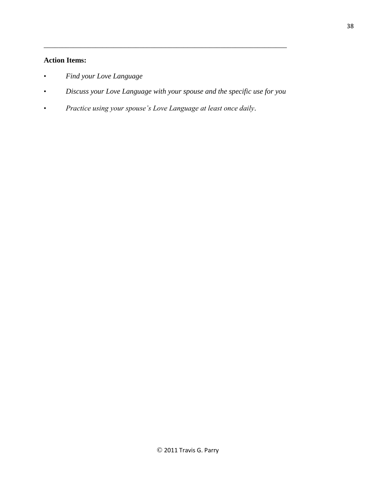# **Action Items:**

- *Find your Love Language*
- *Discuss your Love Language with your spouse and the specific use for you*

\_\_\_\_\_\_\_\_\_\_\_\_\_\_\_\_\_\_\_\_\_\_\_\_\_\_\_\_\_\_\_\_\_\_\_\_\_\_\_\_\_\_\_\_\_\_\_\_\_\_\_\_\_\_\_\_\_\_\_\_\_\_\_\_\_\_

• *Practice using your spouse's Love Language at least once daily*.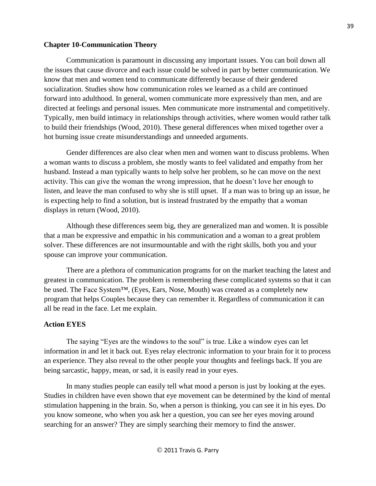#### **Chapter 10-Communication Theory**

Communication is paramount in discussing any important issues. You can boil down all the issues that cause divorce and each issue could be solved in part by better communication. We know that men and women tend to communicate differently because of their gendered socialization. Studies show how communication roles we learned as a child are continued forward into adulthood. In general, women communicate more expressively than men, and are directed at feelings and personal issues. Men communicate more instrumental and competitively. Typically, men build intimacy in relationships through activities, where women would rather talk to build their friendships (Wood, 2010). These general differences when mixed together over a hot burning issue create misunderstandings and unneeded arguments.

Gender differences are also clear when men and women want to discuss problems. When a woman wants to discuss a problem, she mostly wants to feel validated and empathy from her husband. Instead a man typically wants to help solve her problem, so he can move on the next activity. This can give the woman the wrong impression, that he doesn't love her enough to listen, and leave the man confused to why she is still upset. If a man was to bring up an issue, he is expecting help to find a solution, but is instead frustrated by the empathy that a woman displays in return (Wood, 2010).

Although these differences seem big, they are generalized man and women. It is possible that a man be expressive and empathic in his communication and a woman to a great problem solver. These differences are not insurmountable and with the right skills, both you and your spouse can improve your communication.

There are a plethora of communication programs for on the market teaching the latest and greatest in communication. The problem is remembering these complicated systems so that it can be used. The Face System™, (Eyes, Ears, Nose, Mouth) was created as a completely new program that helps Couples because they can remember it. Regardless of communication it can all be read in the face. Let me explain.

#### **Action EYES**

The saying "Eyes are the windows to the soul" is true. Like a window eyes can let information in and let it back out. Eyes relay electronic information to your brain for it to process an experience. They also reveal to the other people your thoughts and feelings back. If you are being sarcastic, happy, mean, or sad, it is easily read in your eyes.

In many studies people can easily tell what mood a person is just by looking at the eyes. Studies in children have even shown that eye movement can be determined by the kind of mental stimulation happening in the brain. So, when a person is thinking, you can see it in his eyes. Do you know someone, who when you ask her a question, you can see her eyes moving around searching for an answer? They are simply searching their memory to find the answer.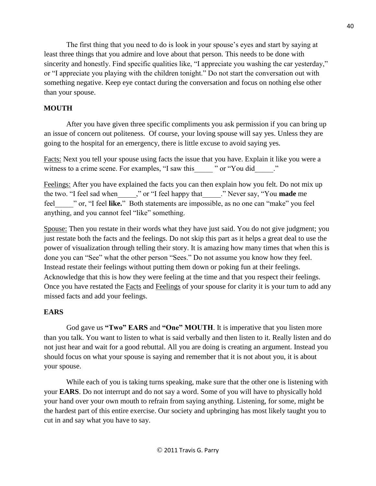The first thing that you need to do is look in your spouse's eyes and start by saying at least three things that you admire and love about that person. This needs to be done with sincerity and honestly. Find specific qualities like, "I appreciate you washing the car yesterday," or "I appreciate you playing with the children tonight." Do not start the conversation out with something negative. Keep eye contact during the conversation and focus on nothing else other than your spouse.

# **MOUTH**

After you have given three specific compliments you ask permission if you can bring up an issue of concern out politeness. Of course, your loving spouse will say yes. Unless they are going to the hospital for an emergency, there is little excuse to avoid saying yes.

Facts: Next you tell your spouse using facts the issue that you have. Explain it like you were a witness to a crime scene. For examples, "I saw this " or "You did "."

Feelings: After you have explained the facts you can then explain how you felt. Do not mix up the two. "I feel sad when\_\_\_\_\_," or "I feel happy that\_\_\_\_\_." Never say, "You **made** me feel\_\_\_\_\_" or, "I feel **like.**" Both statements are impossible, as no one can "make" you feel anything, and you cannot feel "like" something.

Spouse: Then you restate in their words what they have just said. You do not give judgment; you just restate both the facts and the feelings. Do not skip this part as it helps a great deal to use the power of visualization through telling their story. It is amazing how many times that when this is done you can "See" what the other person "Sees." Do not assume you know how they feel. Instead restate their feelings without putting them down or poking fun at their feelings. Acknowledge that this is how they were feeling at the time and that you respect their feelings. Once you have restated the Facts and Feelings of your spouse for clarity it is your turn to add any missed facts and add your feelings.

# **EARS**

God gave us **"Two" EARS** and **"One" MOUTH**. It is imperative that you listen more than you talk. You want to listen to what is said verbally and then listen to it. Really listen and do not just hear and wait for a good rebuttal. All you are doing is creating an argument. Instead you should focus on what your spouse is saying and remember that it is not about you, it is about your spouse.

While each of you is taking turns speaking, make sure that the other one is listening with your **EARS**. Do not interrupt and do not say a word. Some of you will have to physically hold your hand over your own mouth to refrain from saying anything. Listening, for some, might be the hardest part of this entire exercise. Our society and upbringing has most likely taught you to cut in and say what you have to say.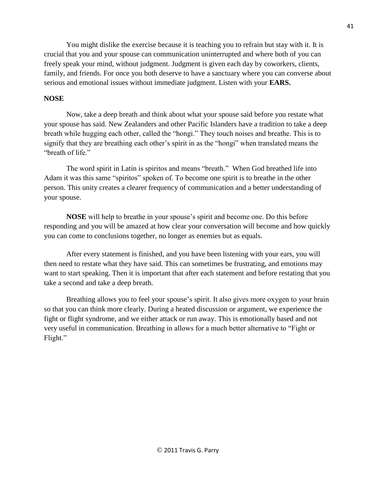You might dislike the exercise because it is teaching you to refrain but stay with it. It is crucial that you and your spouse can communication uninterrupted and where both of you can freely speak your mind, without judgment. Judgment is given each day by coworkers, clients, family, and friends. For once you both deserve to have a sanctuary where you can converse about serious and emotional issues without immediate judgment. Listen with your **EARS.** 

## **NOSE**

Now, take a deep breath and think about what your spouse said before you restate what your spouse has said. New Zealanders and other Pacific Islanders have a tradition to take a deep breath while hugging each other, called the "hongi." They touch noises and breathe. This is to signify that they are breathing each other's spirit in as the "hongi" when translated means the "breath of life."

The word spirit in Latin is spiritos and means "breath." When God breathed life into Adam it was this same "spiritos" spoken of. To become one spirit is to breathe in the other person. This unity creates a clearer frequency of communication and a better understanding of your spouse.

**NOSE** will help to breathe in your spouse's spirit and become one. Do this before responding and you will be amazed at how clear your conversation will become and how quickly you can come to conclusions together, no longer as enemies but as equals.

After every statement is finished, and you have been listening with your ears, you will then need to restate what they have said. This can sometimes be frustrating, and emotions may want to start speaking. Then it is important that after each statement and before restating that you take a second and take a deep breath.

Breathing allows you to feel your spouse's spirit. It also gives more oxygen to your brain so that you can think more clearly. During a heated discussion or argument, we experience the fight or flight syndrome, and we either attack or run away. This is emotionally based and not very useful in communication. Breathing in allows for a much better alternative to "Fight or Flight."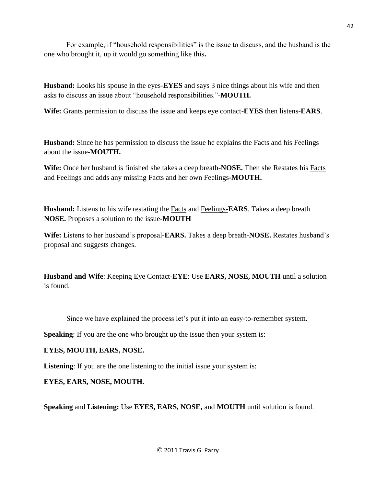For example, if "household responsibilities" is the issue to discuss, and the husband is the one who brought it, up it would go something like this**.** 

**Husband:** Looks his spouse in the eyes-**EYES** and says 3 nice things about his wife and then asks to discuss an issue about "household responsibilities."-**MOUTH.** 

**Wife:** Grants permission to discuss the issue and keeps eye contact-**EYES** then listens-**EARS**.

**Husband:** Since he has permission to discuss the issue he explains the Facts and his Feelings about the issue-**MOUTH.**

**Wife:** Once her husband is finished she takes a deep breath**-NOSE.** Then she Restates his Facts and Feelings and adds any missing Facts and her own Feelings**-MOUTH.**

**Husband:** Listens to his wife restating the Facts and Feelings-**EARS**. Takes a deep breath **NOSE.** Proposes a solution to the issue-**MOUTH**

**Wife:** Listens to her husband's proposal**-EARS.** Takes a deep breath**-NOSE.** Restates husband's proposal and suggests changes.

**Husband and Wife**: Keeping Eye Contact-**EYE**: Use **EARS, NOSE, MOUTH** until a solution is found.

Since we have explained the process let's put it into an easy-to-remember system.

**Speaking:** If you are the one who brought up the issue then your system is:

# **EYES, MOUTH, EARS, NOSE.**

**Listening**: If you are the one listening to the initial issue your system is:

**EYES, EARS, NOSE, MOUTH.** 

**Speaking** and **Listening:** Use **EYES, EARS, NOSE,** and **MOUTH** until solution is found.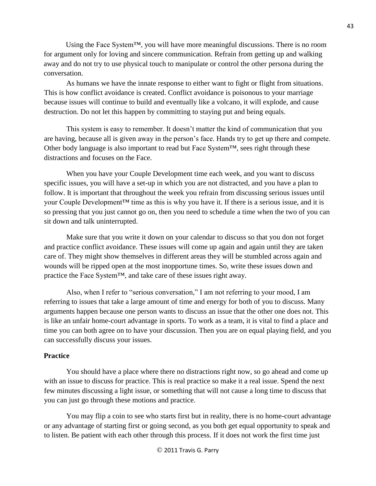Using the Face System<sup>TM</sup>, you will have more meaningful discussions. There is no room for argument only for loving and sincere communication. Refrain from getting up and walking away and do not try to use physical touch to manipulate or control the other persona during the conversation.

As humans we have the innate response to either want to fight or flight from situations. This is how conflict avoidance is created. Conflict avoidance is poisonous to your marriage because issues will continue to build and eventually like a volcano, it will explode, and cause destruction. Do not let this happen by committing to staying put and being equals.

This system is easy to remember. It doesn't matter the kind of communication that you are having, because all is given away in the person's face. Hands try to get up there and compete. Other body language is also important to read but Face System™, sees right through these distractions and focuses on the Face.

When you have your Couple Development time each week, and you want to discuss specific issues, you will have a set-up in which you are not distracted, and you have a plan to follow. It is important that throughout the week you refrain from discussing serious issues until your Couple Development™ time as this is why you have it. If there is a serious issue, and it is so pressing that you just cannot go on, then you need to schedule a time when the two of you can sit down and talk uninterrupted.

Make sure that you write it down on your calendar to discuss so that you don not forget and practice conflict avoidance. These issues will come up again and again until they are taken care of. They might show themselves in different areas they will be stumbled across again and wounds will be ripped open at the most inopportune times. So, write these issues down and practice the Face System™, and take care of these issues right away.

Also, when I refer to "serious conversation," I am not referring to your mood, I am referring to issues that take a large amount of time and energy for both of you to discuss. Many arguments happen because one person wants to discuss an issue that the other one does not. This is like an unfair home-court advantage in sports. To work as a team, it is vital to find a place and time you can both agree on to have your discussion. Then you are on equal playing field, and you can successfully discuss your issues.

### **Practice**

You should have a place where there no distractions right now, so go ahead and come up with an issue to discuss for practice. This is real practice so make it a real issue. Spend the next few minutes discussing a light issue, or something that will not cause a long time to discuss that you can just go through these motions and practice.

You may flip a coin to see who starts first but in reality, there is no home-court advantage or any advantage of starting first or going second, as you both get equal opportunity to speak and to listen. Be patient with each other through this process. If it does not work the first time just

43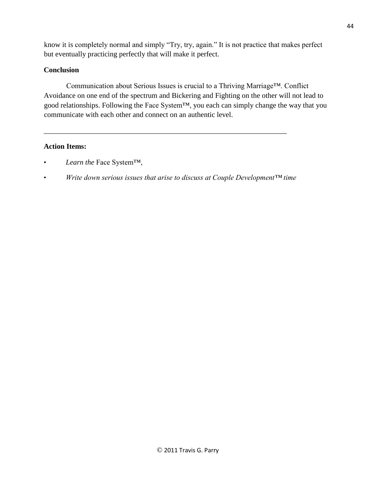know it is completely normal and simply "Try, try, again." It is not practice that makes perfect but eventually practicing perfectly that will make it perfect.

# **Conclusion**

Communication about Serious Issues is crucial to a Thriving Marriage™. Conflict Avoidance on one end of the spectrum and Bickering and Fighting on the other will not lead to good relationships. Following the Face System™, you each can simply change the way that you communicate with each other and connect on an authentic level.

# **Action Items:**

- *Learn the* Face System<sup>TM</sup>,
- *Write down serious issues that arise to discuss at Couple Development™ time*

\_\_\_\_\_\_\_\_\_\_\_\_\_\_\_\_\_\_\_\_\_\_\_\_\_\_\_\_\_\_\_\_\_\_\_\_\_\_\_\_\_\_\_\_\_\_\_\_\_\_\_\_\_\_\_\_\_\_\_\_\_\_\_\_\_\_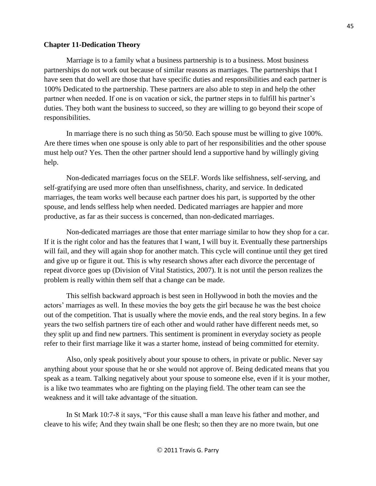#### **Chapter 11-Dedication Theory**

Marriage is to a family what a business partnership is to a business. Most business partnerships do not work out because of similar reasons as marriages. The partnerships that I have seen that do well are those that have specific duties and responsibilities and each partner is 100% Dedicated to the partnership. These partners are also able to step in and help the other partner when needed. If one is on vacation or sick, the partner steps in to fulfill his partner's duties. They both want the business to succeed, so they are willing to go beyond their scope of responsibilities.

In marriage there is no such thing as 50/50. Each spouse must be willing to give 100%. Are there times when one spouse is only able to part of her responsibilities and the other spouse must help out? Yes. Then the other partner should lend a supportive hand by willingly giving help.

Non-dedicated marriages focus on the SELF. Words like selfishness, self-serving, and self-gratifying are used more often than unselfishness, charity, and service. In dedicated marriages, the team works well because each partner does his part, is supported by the other spouse, and lends selfless help when needed. Dedicated marriages are happier and more productive, as far as their success is concerned, than non-dedicated marriages.

Non-dedicated marriages are those that enter marriage similar to how they shop for a car. If it is the right color and has the features that I want, I will buy it. Eventually these partnerships will fail, and they will again shop for another match. This cycle will continue until they get tired and give up or figure it out. This is why research shows after each divorce the percentage of repeat divorce goes up (Division of Vital Statistics, 2007). It is not until the person realizes the problem is really within them self that a change can be made.

This selfish backward approach is best seen in Hollywood in both the movies and the actors' marriages as well. In these movies the boy gets the girl because he was the best choice out of the competition. That is usually where the movie ends, and the real story begins. In a few years the two selfish partners tire of each other and would rather have different needs met, so they split up and find new partners. This sentiment is prominent in everyday society as people refer to their first marriage like it was a starter home, instead of being committed for eternity.

Also, only speak positively about your spouse to others, in private or public. Never say anything about your spouse that he or she would not approve of. Being dedicated means that you speak as a team. Talking negatively about your spouse to someone else, even if it is your mother, is a like two teammates who are fighting on the playing field. The other team can see the weakness and it will take advantage of the situation.

In St Mark 10:7-8 it says, "For this cause shall a man leave his father and mother, and cleave to his wife; And they twain shall be one flesh; so then they are no more twain, but one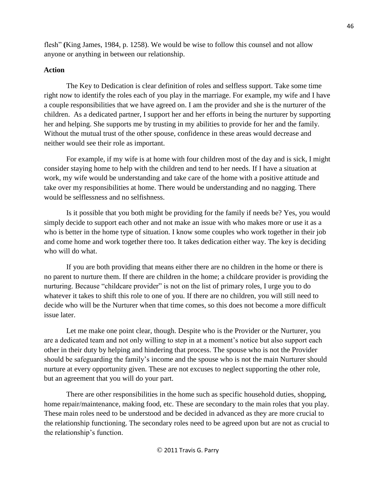flesh" **(**King James, 1984, p. 1258). We would be wise to follow this counsel and not allow anyone or anything in between our relationship.

## **Action**

The Key to Dedication is clear definition of roles and selfless support. Take some time right now to identify the roles each of you play in the marriage. For example, my wife and I have a couple responsibilities that we have agreed on. I am the provider and she is the nurturer of the children. As a dedicated partner, I support her and her efforts in being the nurturer by supporting her and helping. She supports me by trusting in my abilities to provide for her and the family. Without the mutual trust of the other spouse, confidence in these areas would decrease and neither would see their role as important.

For example, if my wife is at home with four children most of the day and is sick, I might consider staying home to help with the children and tend to her needs. If I have a situation at work, my wife would be understanding and take care of the home with a positive attitude and take over my responsibilities at home. There would be understanding and no nagging. There would be selflessness and no selfishness.

Is it possible that you both might be providing for the family if needs be? Yes, you would simply decide to support each other and not make an issue with who makes more or use it as a who is better in the home type of situation. I know some couples who work together in their job and come home and work together there too. It takes dedication either way. The key is deciding who will do what.

If you are both providing that means either there are no children in the home or there is no parent to nurture them. If there are children in the home; a childcare provider is providing the nurturing. Because "childcare provider" is not on the list of primary roles, I urge you to do whatever it takes to shift this role to one of you. If there are no children, you will still need to decide who will be the Nurturer when that time comes, so this does not become a more difficult issue later.

Let me make one point clear, though. Despite who is the Provider or the Nurturer, you are a dedicated team and not only willing to step in at a moment's notice but also support each other in their duty by helping and hindering that process. The spouse who is not the Provider should be safeguarding the family's income and the spouse who is not the main Nurturer should nurture at every opportunity given. These are not excuses to neglect supporting the other role, but an agreement that you will do your part.

There are other responsibilities in the home such as specific household duties, shopping, home repair/maintenance, making food, etc. These are secondary to the main roles that you play. These main roles need to be understood and be decided in advanced as they are more crucial to the relationship functioning. The secondary roles need to be agreed upon but are not as crucial to the relationship's function.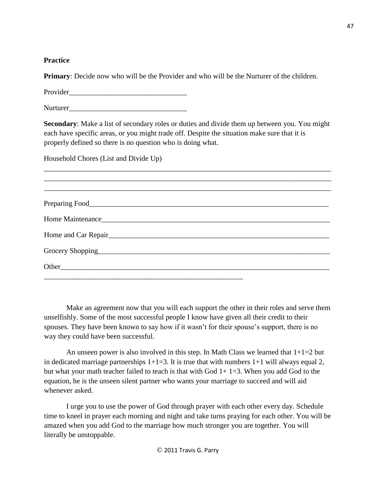**Practice**

**Primary**: Decide now who will be the Provider and who will be the Nurturer of the children.

Provider\_\_\_\_\_\_\_\_\_\_\_\_\_\_\_\_\_\_\_\_\_\_\_\_\_\_\_\_\_\_\_\_

Nurturer\_\_\_\_\_\_\_\_\_\_\_\_\_\_\_\_\_\_\_\_\_\_\_\_\_\_\_\_\_\_\_\_

**Secondary**: Make a list of secondary roles or duties and divide them up between you. You might each have specific areas, or you might trade off. Despite the situation make sure that it is properly defined so there is no question who is doing what.

\_\_\_\_\_\_\_\_\_\_\_\_\_\_\_\_\_\_\_\_\_\_\_\_\_\_\_\_\_\_\_\_\_\_\_\_\_\_\_\_\_\_\_\_\_\_\_\_\_\_\_\_\_\_\_\_\_\_\_\_\_\_\_\_\_\_\_\_\_\_\_\_\_\_\_\_\_\_ \_\_\_\_\_\_\_\_\_\_\_\_\_\_\_\_\_\_\_\_\_\_\_\_\_\_\_\_\_\_\_\_\_\_\_\_\_\_\_\_\_\_\_\_\_\_\_\_\_\_\_\_\_\_\_\_\_\_\_\_\_\_\_\_\_\_\_\_\_\_\_\_\_\_\_\_\_\_

Household Chores (List and Divide Up)

Make an agreement now that you will each support the other in their roles and serve them unselfishly. Some of the most successful people I know have given all their credit to their spouses. They have been known to say how if it wasn't for their spouse's support, there is no way they could have been successful.

An unseen power is also involved in this step. In Math Class we learned that  $1+1=2$  but in dedicated marriage partnerships  $1+1=3$ . It is true that with numbers  $1+1$  will always equal 2, but what your math teacher failed to teach is that with God  $1+ 1=3$ . When you add God to the equation, he is the unseen silent partner who wants your marriage to succeed and will aid whenever asked.

I urge you to use the power of God through prayer with each other every day. Schedule time to kneel in prayer each morning and night and take turns praying for each other. You will be amazed when you add God to the marriage how much stronger you are together. You will literally be unstoppable.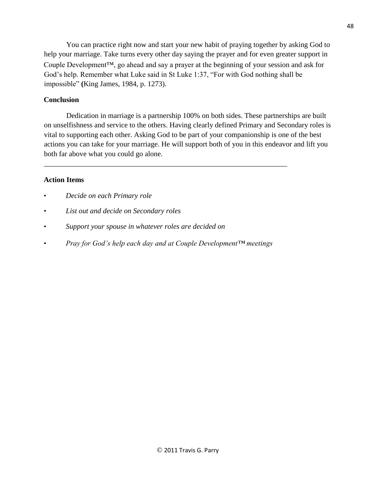You can practice right now and start your new habit of praying together by asking God to help your marriage. Take turns every other day saying the prayer and for even greater support in Couple Development™, go ahead and say a prayer at the beginning of your session and ask for God's help. Remember what Luke said in St Luke 1:37, "For with God nothing shall be impossible" **(**King James, 1984, p. 1273).

## **Conclusion**

Dedication in marriage is a partnership 100% on both sides. These partnerships are built on unselfishness and service to the others. Having clearly defined Primary and Secondary roles is vital to supporting each other. Asking God to be part of your companionship is one of the best actions you can take for your marriage. He will support both of you in this endeavor and lift you both far above what you could go alone.

## **Action Items**

- *Decide on each Primary role*
- *List out and decide on Secondary roles*
- *Support your spouse in whatever roles are decided on*
- *Pray for God's help each day and at Couple Development™ meetings*

\_\_\_\_\_\_\_\_\_\_\_\_\_\_\_\_\_\_\_\_\_\_\_\_\_\_\_\_\_\_\_\_\_\_\_\_\_\_\_\_\_\_\_\_\_\_\_\_\_\_\_\_\_\_\_\_\_\_\_\_\_\_\_\_\_\_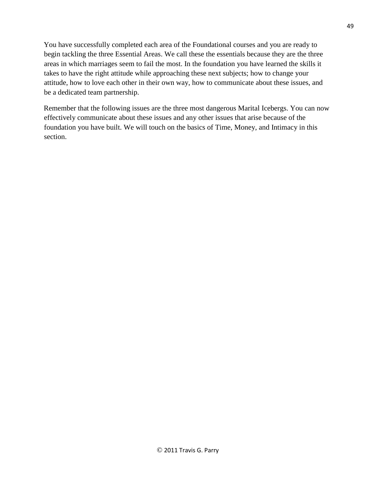You have successfully completed each area of the Foundational courses and you are ready to begin tackling the three Essential Areas. We call these the essentials because they are the three areas in which marriages seem to fail the most. In the foundation you have learned the skills it takes to have the right attitude while approaching these next subjects; how to change your attitude, how to love each other in their own way, how to communicate about these issues, and be a dedicated team partnership.

Remember that the following issues are the three most dangerous Marital Icebergs. You can now effectively communicate about these issues and any other issues that arise because of the foundation you have built. We will touch on the basics of Time, Money, and Intimacy in this section.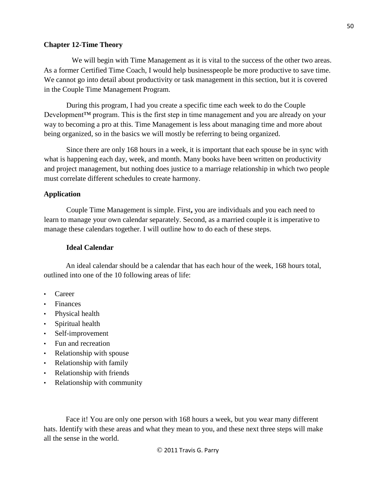#### **Chapter 12-Time Theory**

We will begin with Time Management as it is vital to the success of the other two areas. As a former Certified Time Coach, I would help businesspeople be more productive to save time. We cannot go into detail about productivity or task management in this section, but it is covered in the Couple Time Management Program.

During this program, I had you create a specific time each week to do the Couple Development<sup>™</sup> program. This is the first step in time management and you are already on your way to becoming a pro at this. Time Management is less about managing time and more about being organized, so in the basics we will mostly be referring to being organized.

Since there are only 168 hours in a week, it is important that each spouse be in sync with what is happening each day, week, and month. Many books have been written on productivity and project management, but nothing does justice to a marriage relationship in which two people must correlate different schedules to create harmony.

### **Application**

Couple Time Management is simple. First**,** you are individuals and you each need to learn to manage your own calendar separately. Second, as a married couple it is imperative to manage these calendars together. I will outline how to do each of these steps.

#### **Ideal Calendar**

An ideal calendar should be a calendar that has each hour of the week, 168 hours total, outlined into one of the 10 following areas of life:

- Career
- **Finances**
- Physical health
- Spiritual health
- Self-improvement
- Fun and recreation
- Relationship with spouse
- Relationship with family
- Relationship with friends
- Relationship with community

Face it! You are only one person with 168 hours a week, but you wear many different hats. Identify with these areas and what they mean to you, and these next three steps will make all the sense in the world.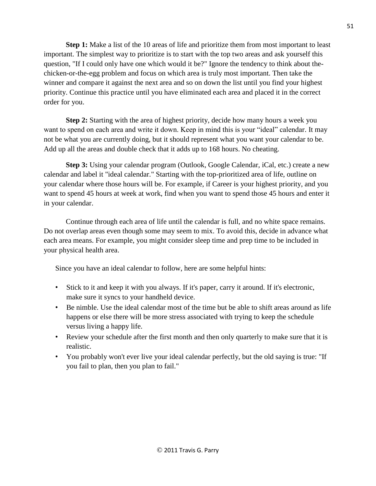**Step 1:** Make a list of the 10 areas of life and prioritize them from most important to least important. The simplest way to prioritize is to start with the top two areas and ask yourself this question, "If I could only have one which would it be?" Ignore the tendency to think about thechicken-or-the-egg problem and focus on which area is truly most important. Then take the winner and compare it against the next area and so on down the list until you find your highest priority. Continue this practice until you have eliminated each area and placed it in the correct order for you.

**Step 2:** Starting with the area of highest priority, decide how many hours a week you want to spend on each area and write it down. Keep in mind this is your "ideal" calendar. It may not be what you are currently doing, but it should represent what you want your calendar to be. Add up all the areas and double check that it adds up to 168 hours. No cheating.

**Step 3:** Using your calendar program (Outlook, Google Calendar, iCal, etc.) create a new calendar and label it "ideal calendar." Starting with the top-prioritized area of life, outline on your calendar where those hours will be. For example, if Career is your highest priority, and you want to spend 45 hours at week at work, find when you want to spend those 45 hours and enter it in your calendar.

Continue through each area of life until the calendar is full, and no white space remains. Do not overlap areas even though some may seem to mix. To avoid this, decide in advance what each area means. For example, you might consider sleep time and prep time to be included in your physical health area.

Since you have an ideal calendar to follow, here are some helpful hints:

- Stick to it and keep it with you always. If it's paper, carry it around. If it's electronic, make sure it syncs to your handheld device.
- Be nimble. Use the ideal calendar most of the time but be able to shift areas around as life happens or else there will be more stress associated with trying to keep the schedule versus living a happy life.
- Review your schedule after the first month and then only quarterly to make sure that it is realistic.
- You probably won't ever live your ideal calendar perfectly, but the old saying is true: "If you fail to plan, then you plan to fail."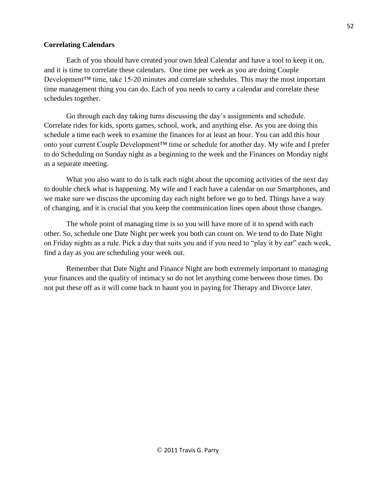### **Correlating Calendars**

Each of you should have created your own Ideal Calendar and have a tool to keep it on, and it is time to correlate these calendars. One time per week as you are doing Couple Development<sup>™</sup> time, take 15-20 minutes and correlate schedules. This may the most important time management thing you can do. Each of you needs to carry a calendar and correlate these schedules together.

Go through each day taking turns discussing the day's assignments and schedule. Correlate rides for kids, sports games, school, work, and anything else. As you are doing this schedule a time each week to examine the finances for at least an hour. You can add this hour onto your current Couple Development™ time or schedule for another day. My wife and I prefer to do Scheduling on Sunday night as a beginning to the week and the Finances on Monday night as a separate meeting.

What you also want to do is talk each night about the upcoming activities of the next day to double check what is happening. My wife and I each have a calendar on our Smartphones, and we make sure we discuss the upcoming day each night before we go to bed. Things have a way of changing, and it is crucial that you keep the communication lines open about those changes.

The whole point of managing time is so you will have more of it to spend with each other. So, schedule one Date Night per week you both can count on. We tend to do Date Night on Friday nights as a rule. Pick a day that suits you and if you need to "play it by ear" each week, find a day as you are scheduling your week out.

Remember that Date Night and Finance Night are both extremely important to managing your finances and the quality of intimacy so do not let anything come between those times. Do not put these off as it will come back to haunt you in paying for Therapy and Divorce later.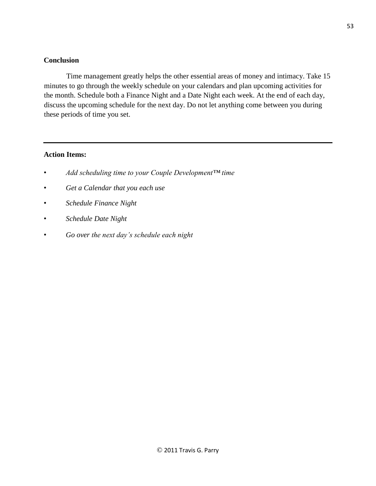## **Conclusion**

Time management greatly helps the other essential areas of money and intimacy. Take 15 minutes to go through the weekly schedule on your calendars and plan upcoming activities for the month. Schedule both a Finance Night and a Date Night each week. At the end of each day, discuss the upcoming schedule for the next day. Do not let anything come between you during these periods of time you set.

### **Action Items:**

- *Add scheduling time to your Couple Development™ time*
- *Get a Calendar that you each use*
- *Schedule Finance Night*
- *Schedule Date Night*
- *Go over the next day's schedule each night*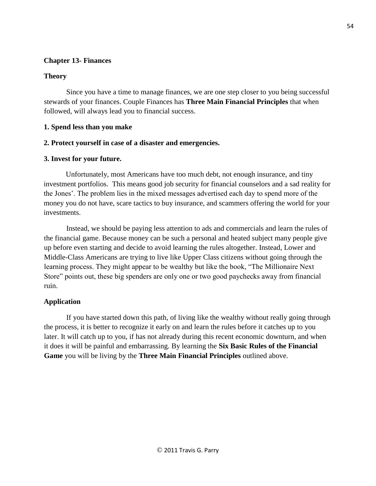# **Chapter 13- Finances**

# **Theory**

Since you have a time to manage finances, we are one step closer to you being successful stewards of your finances. Couple Finances has **Three Main Financial Principles** that when followed, will always lead you to financial success.

# **1. Spend less than you make**

# **2. Protect yourself in case of a disaster and emergencies.**

# **3. Invest for your future.**

Unfortunately, most Americans have too much debt, not enough insurance, and tiny investment portfolios. This means good job security for financial counselors and a sad reality for the Jones'. The problem lies in the mixed messages advertised each day to spend more of the money you do not have, scare tactics to buy insurance, and scammers offering the world for your investments.

Instead, we should be paying less attention to ads and commercials and learn the rules of the financial game. Because money can be such a personal and heated subject many people give up before even starting and decide to avoid learning the rules altogether. Instead, Lower and Middle-Class Americans are trying to live like Upper Class citizens without going through the learning process. They might appear to be wealthy but like the book, "The Millionaire Next Store" points out, these big spenders are only one or two good paychecks away from financial ruin.

# **Application**

If you have started down this path, of living like the wealthy without really going through the process, it is better to recognize it early on and learn the rules before it catches up to you later. It will catch up to you, if has not already during this recent economic downturn, and when it does it will be painful and embarrassing. By learning the **Six Basic Rules of the Financial Game** you will be living by the **Three Main Financial Principles** outlined above.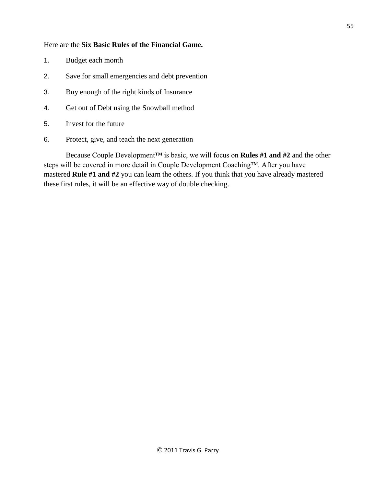### Here are the **Six Basic Rules of the Financial Game.**

- 1. Budget each month
- 2. Save for small emergencies and debt prevention
- 3. Buy enough of the right kinds of Insurance
- 4. Get out of Debt using the Snowball method
- 5. Invest for the future
- 6. Protect, give, and teach the next generation

Because Couple Development™ is basic, we will focus on **Rules #1 and #2** and the other steps will be covered in more detail in Couple Development Coaching™. After you have mastered **Rule #1 and #2** you can learn the others. If you think that you have already mastered these first rules, it will be an effective way of double checking.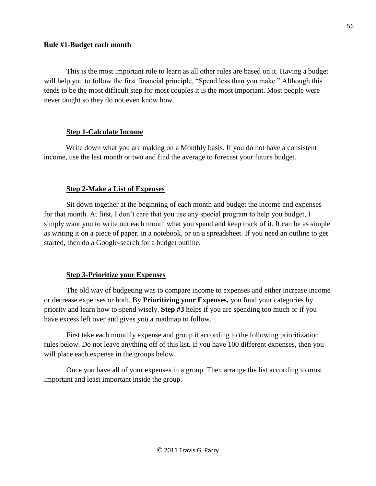#### **Rule #1**-**Budget each month**

This is the most important rule to learn as all other rules are based on it. Having a budget will help you to follow the first financial principle, "Spend less than you make." Although this tends to be the most difficult step for most couples it is the most important. Most people were never taught so they do not even know how.

## **Step 1-Calculate Income**

Write down what you are making on a Monthly basis. If you do not have a consistent income, use the last month or two and find the average to forecast your future budget.

## **Step 2-Make a List of Expenses**

Sit down together at the beginning of each month and budget the income and expenses for that month. At first, I don't care that you use any special program to help you budget, I simply want you to write out each month what you spend and keep track of it. It can be as simple as writing it on a piece of paper, in a notebook, or on a spreadsheet. If you need an outline to get started, then do a Google-search for a budget outline.

# **Step 3-Prioritize your Expenses**

The old way of budgeting was to compare income to expenses and either increase income or decrease expenses or both. By **Prioritizing your Expenses,** you fund your categories by priority and learn how to spend wisely. **Step #3** helps if you are spending too much or if you have excess left over and gives you a roadmap to follow.

First take each monthly expense and group it according to the following prioritization rules below. Do not leave anything off of this list. If you have 100 different expenses, then you will place each expense in the groups below.

Once you have all of your expenses in a group. Then arrange the list according to most important and least important inside the group.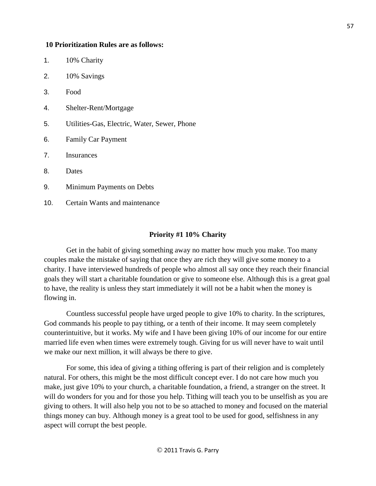#### **10 Prioritization Rules are as follows:**

| 1.  | 10% Charity                                  |
|-----|----------------------------------------------|
| 2.  | 10% Savings                                  |
| 3.  | Food                                         |
| 4.  | Shelter-Rent/Mortgage                        |
| 5.  | Utilities-Gas, Electric, Water, Sewer, Phone |
| 6.  | <b>Family Car Payment</b>                    |
| 7.  | <b>Insurances</b>                            |
| 8.  | Dates                                        |
| 9.  | Minimum Payments on Debts                    |
| 10. | Certain Wants and maintenance                |
|     |                                              |

# **Priority #1 10% Charity**

Get in the habit of giving something away no matter how much you make. Too many couples make the mistake of saying that once they are rich they will give some money to a charity. I have interviewed hundreds of people who almost all say once they reach their financial goals they will start a charitable foundation or give to someone else. Although this is a great goal to have, the reality is unless they start immediately it will not be a habit when the money is flowing in.

Countless successful people have urged people to give 10% to charity. In the scriptures, God commands his people to pay tithing, or a tenth of their income. It may seem completely counterintuitive, but it works. My wife and I have been giving 10% of our income for our entire married life even when times were extremely tough. Giving for us will never have to wait until we make our next million, it will always be there to give.

For some, this idea of giving a tithing offering is part of their religion and is completely natural. For others, this might be the most difficult concept ever. I do not care how much you make, just give 10% to your church, a charitable foundation, a friend, a stranger on the street. It will do wonders for you and for those you help. Tithing will teach you to be unselfish as you are giving to others. It will also help you not to be so attached to money and focused on the material things money can buy. Although money is a great tool to be used for good, selfishness in any aspect will corrupt the best people.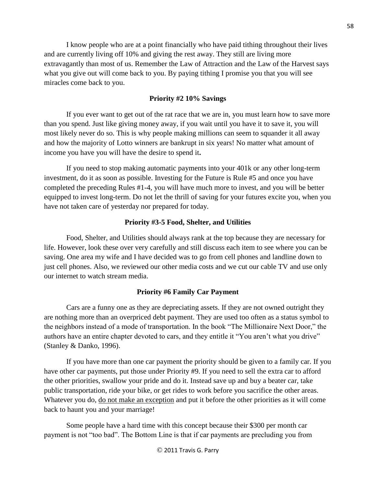I know people who are at a point financially who have paid tithing throughout their lives and are currently living off 10% and giving the rest away. They still are living more extravagantly than most of us. Remember the Law of Attraction and the Law of the Harvest says what you give out will come back to you. By paying tithing I promise you that you will see miracles come back to you.

### **Priority #2 10% Savings**

If you ever want to get out of the rat race that we are in, you must learn how to save more than you spend. Just like giving money away, if you wait until you have it to save it, you will most likely never do so. This is why people making millions can seem to squander it all away and how the majority of Lotto winners are bankrupt in six years! No matter what amount of income you have you will have the desire to spend it**.** 

If you need to stop making automatic payments into your 401k or any other long-term investment, do it as soon as possible. Investing for the Future is Rule #5 and once you have completed the preceding Rules #1-4, you will have much more to invest, and you will be better equipped to invest long-term. Do not let the thrill of saving for your futures excite you, when you have not taken care of yesterday nor prepared for today.

#### **Priority #3-5 Food, Shelter, and Utilities**

Food, Shelter, and Utilities should always rank at the top because they are necessary for life. However, look these over very carefully and still discuss each item to see where you can be saving. One area my wife and I have decided was to go from cell phones and landline down to just cell phones. Also, we reviewed our other media costs and we cut our cable TV and use only our internet to watch stream media.

### **Priority #6 Family Car Payment**

Cars are a funny one as they are depreciating assets. If they are not owned outright they are nothing more than an overpriced debt payment. They are used too often as a status symbol to the neighbors instead of a mode of transportation. In the book "The Millionaire Next Door," the authors have an entire chapter devoted to cars, and they entitle it "You aren't what you drive" (Stanley & Danko, 1996).

If you have more than one car payment the priority should be given to a family car. If you have other car payments, put those under Priority #9. If you need to sell the extra car to afford the other priorities, swallow your pride and do it. Instead save up and buy a beater car, take public transportation, ride your bike, or get rides to work before you sacrifice the other areas. Whatever you do, do not make an exception and put it before the other priorities as it will come back to haunt you and your marriage!

Some people have a hard time with this concept because their \$300 per month car payment is not "too bad". The Bottom Line is that if car payments are precluding you from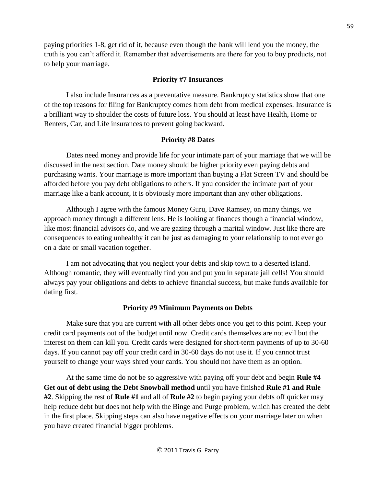paying priorities 1-8, get rid of it, because even though the bank will lend you the money, the truth is you can't afford it. Remember that advertisements are there for you to buy products, not to help your marriage.

## **Priority #7 Insurances**

I also include Insurances as a preventative measure. Bankruptcy statistics show that one of the top reasons for filing for Bankruptcy comes from debt from medical expenses. Insurance is a brilliant way to shoulder the costs of future loss. You should at least have Health, Home or Renters, Car, and Life insurances to prevent going backward.

## **Priority #8 Dates**

Dates need money and provide life for your intimate part of your marriage that we will be discussed in the next section. Date money should be higher priority even paying debts and purchasing wants. Your marriage is more important than buying a Flat Screen TV and should be afforded before you pay debt obligations to others. If you consider the intimate part of your marriage like a bank account, it is obviously more important than any other obligations.

Although I agree with the famous Money Guru, Dave Ramsey, on many things, we approach money through a different lens. He is looking at finances though a financial window, like most financial advisors do, and we are gazing through a marital window. Just like there are consequences to eating unhealthy it can be just as damaging to your relationship to not ever go on a date or small vacation together.

I am not advocating that you neglect your debts and skip town to a deserted island. Although romantic, they will eventually find you and put you in separate jail cells! You should always pay your obligations and debts to achieve financial success, but make funds available for dating first.

### **Priority #9 Minimum Payments on Debts**

Make sure that you are current with all other debts once you get to this point. Keep your credit card payments out of the budget until now. Credit cards themselves are not evil but the interest on them can kill you. Credit cards were designed for short-term payments of up to 30-60 days. If you cannot pay off your credit card in 30-60 days do not use it. If you cannot trust yourself to change your ways shred your cards. You should not have them as an option.

At the same time do not be so aggressive with paying off your debt and begin **Rule #4 Get out of debt using the Debt Snowball method** until you have finished **Rule #1 and Rule #2**. Skipping the rest of **Rule #1** and all of **Rule #2** to begin paying your debts off quicker may help reduce debt but does not help with the Binge and Purge problem, which has created the debt in the first place. Skipping steps can also have negative effects on your marriage later on when you have created financial bigger problems.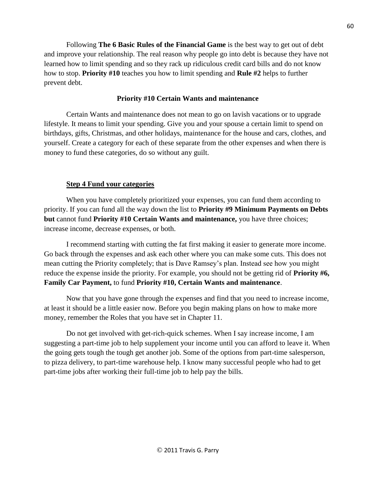Following **The 6 Basic Rules of the Financial Game** is the best way to get out of debt and improve your relationship. The real reason why people go into debt is because they have not learned how to limit spending and so they rack up ridiculous credit card bills and do not know how to stop. **Priority #10** teaches you how to limit spending and **Rule #2** helps to further prevent debt.

## **Priority #10 Certain Wants and maintenance**

Certain Wants and maintenance does not mean to go on lavish vacations or to upgrade lifestyle. It means to limit your spending. Give you and your spouse a certain limit to spend on birthdays, gifts, Christmas, and other holidays, maintenance for the house and cars, clothes, and yourself. Create a category for each of these separate from the other expenses and when there is money to fund these categories, do so without any guilt.

## **Step 4 Fund your categories**

When you have completely prioritized your expenses, you can fund them according to priority. If you can fund all the way down the list to **Priority #9 Minimum Payments on Debts but** cannot fund **Priority #10 Certain Wants and maintenance,** you have three choices; increase income, decrease expenses, or both.

I recommend starting with cutting the fat first making it easier to generate more income. Go back through the expenses and ask each other where you can make some cuts. This does not mean cutting the Priority completely; that is Dave Ramsey's plan. Instead see how you might reduce the expense inside the priority. For example, you should not be getting rid of **Priority #6, Family Car Payment,** to fund **Priority #10, Certain Wants and maintenance**.

Now that you have gone through the expenses and find that you need to increase income, at least it should be a little easier now. Before you begin making plans on how to make more money, remember the Roles that you have set in Chapter 11.

Do not get involved with get-rich-quick schemes. When I say increase income, I am suggesting a part-time job to help supplement your income until you can afford to leave it. When the going gets tough the tough get another job. Some of the options from part-time salesperson, to pizza delivery, to part-time warehouse help. I know many successful people who had to get part-time jobs after working their full-time job to help pay the bills.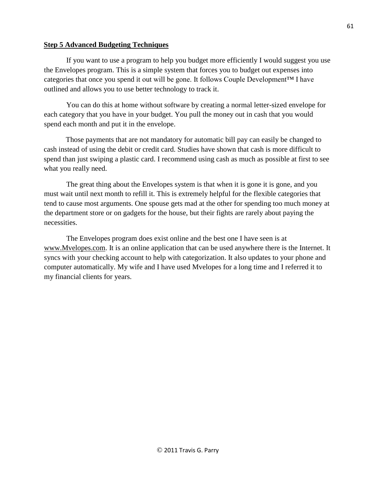## **Step 5 Advanced Budgeting Techniques**

If you want to use a program to help you budget more efficiently I would suggest you use the Envelopes program. This is a simple system that forces you to budget out expenses into categories that once you spend it out will be gone. It follows Couple Development™ I have outlined and allows you to use better technology to track it.

You can do this at home without software by creating a normal letter-sized envelope for each category that you have in your budget. You pull the money out in cash that you would spend each month and put it in the envelope.

Those payments that are not mandatory for automatic bill pay can easily be changed to cash instead of using the debit or credit card. Studies have shown that cash is more difficult to spend than just swiping a plastic card. I recommend using cash as much as possible at first to see what you really need.

The great thing about the Envelopes system is that when it is gone it is gone, and you must wait until next month to refill it. This is extremely helpful for the flexible categories that tend to cause most arguments. One spouse gets mad at the other for spending too much money at the department store or on gadgets for the house, but their fights are rarely about paying the necessities.

The Envelopes program does exist online and the best one I have seen is at [www.Mvelopes.com.](http://www.mvelopes.com/) It is an online application that can be used anywhere there is the Internet. It syncs with your checking account to help with categorization. It also updates to your phone and computer automatically. My wife and I have used Mvelopes for a long time and I referred it to my financial clients for years.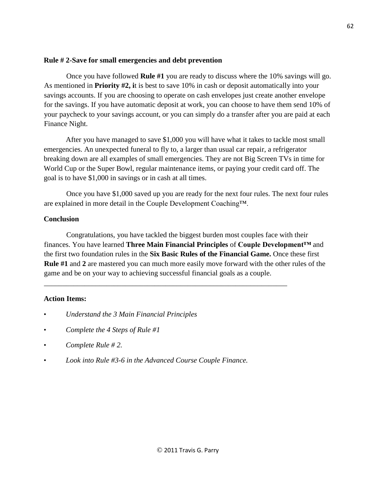### **Rule # 2-Save for small emergencies and debt prevention**

Once you have followed **Rule #1** you are ready to discuss where the 10% savings will go. As mentioned in **Priority #2, i**t is best to save 10% in cash or deposit automatically into your savings accounts. If you are choosing to operate on cash envelopes just create another envelope for the savings. If you have automatic deposit at work, you can choose to have them send 10% of your paycheck to your savings account, or you can simply do a transfer after you are paid at each Finance Night.

After you have managed to save \$1,000 you will have what it takes to tackle most small emergencies. An unexpected funeral to fly to, a larger than usual car repair, a refrigerator breaking down are all examples of small emergencies. They are not Big Screen TVs in time for World Cup or the Super Bowl, regular maintenance items, or paying your credit card off. The goal is to have \$1,000 in savings or in cash at all times.

Once you have \$1,000 saved up you are ready for the next four rules. The next four rules are explained in more detail in the Couple Development Coaching™.

# **Conclusion**

Congratulations, you have tackled the biggest burden most couples face with their finances. You have learned **Three Main Financial Principles** of **Couple Development™** and the first two foundation rules in the **Six Basic Rules of the Financial Game.** Once these first **Rule #1** and **2** are mastered you can much more easily move forward with the other rules of the game and be on your way to achieving successful financial goals as a couple.

\_\_\_\_\_\_\_\_\_\_\_\_\_\_\_\_\_\_\_\_\_\_\_\_\_\_\_\_\_\_\_\_\_\_\_\_\_\_\_\_\_\_\_\_\_\_\_\_\_\_\_\_\_\_\_\_\_\_\_\_\_\_\_\_\_\_

# **Action Items:**

- *Understand the 3 Main Financial Principles*
- *Complete the 4 Steps of Rule #1*
- *Complete Rule # 2.*
- *Look into Rule #3-6 in the Advanced Course Couple Finance.*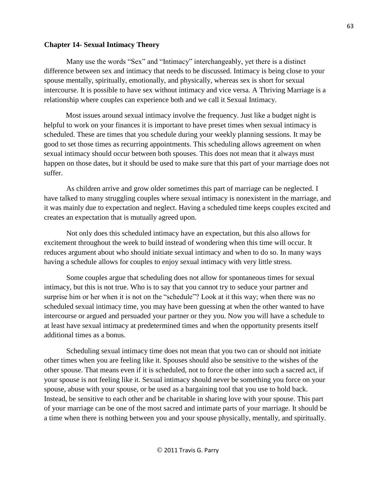#### **Chapter 14- Sexual Intimacy Theory**

Many use the words "Sex" and "Intimacy" interchangeably, yet there is a distinct difference between sex and intimacy that needs to be discussed. Intimacy is being close to your spouse mentally, spiritually, emotionally, and physically, whereas sex is short for sexual intercourse. It is possible to have sex without intimacy and vice versa. A Thriving Marriage is a relationship where couples can experience both and we call it Sexual Intimacy.

Most issues around sexual intimacy involve the frequency. Just like a budget night is helpful to work on your finances it is important to have preset times when sexual intimacy is scheduled. These are times that you schedule during your weekly planning sessions. It may be good to set those times as recurring appointments. This scheduling allows agreement on when sexual intimacy should occur between both spouses. This does not mean that it always must happen on those dates, but it should be used to make sure that this part of your marriage does not suffer.

As children arrive and grow older sometimes this part of marriage can be neglected. I have talked to many struggling couples where sexual intimacy is nonexistent in the marriage, and it was mainly due to expectation and neglect. Having a scheduled time keeps couples excited and creates an expectation that is mutually agreed upon.

 Not only does this scheduled intimacy have an expectation, but this also allows for excitement throughout the week to build instead of wondering when this time will occur. It reduces argument about who should initiate sexual intimacy and when to do so. In many ways having a schedule allows for couples to enjoy sexual intimacy with very little stress.

Some couples argue that scheduling does not allow for spontaneous times for sexual intimacy, but this is not true. Who is to say that you cannot try to seduce your partner and surprise him or her when it is not on the "schedule"? Look at it this way; when there was no scheduled sexual intimacy time, you may have been guessing at when the other wanted to have intercourse or argued and persuaded your partner or they you. Now you will have a schedule to at least have sexual intimacy at predetermined times and when the opportunity presents itself additional times as a bonus.

Scheduling sexual intimacy time does not mean that you two can or should not initiate other times when you are feeling like it. Spouses should also be sensitive to the wishes of the other spouse. That means even if it is scheduled, not to force the other into such a sacred act, if your spouse is not feeling like it. Sexual intimacy should never be something you force on your spouse, abuse with your spouse, or be used as a bargaining tool that you use to hold back. Instead, be sensitive to each other and be charitable in sharing love with your spouse. This part of your marriage can be one of the most sacred and intimate parts of your marriage. It should be a time when there is nothing between you and your spouse physically, mentally, and spiritually.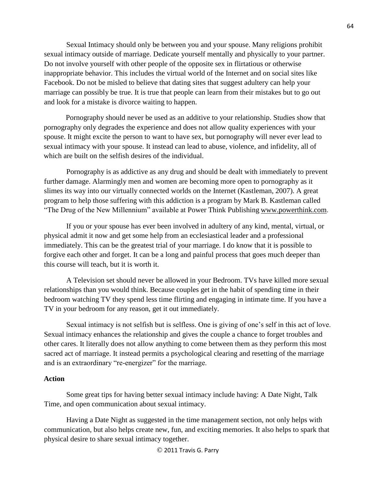Sexual Intimacy should only be between you and your spouse. Many religions prohibit sexual intimacy outside of marriage. Dedicate yourself mentally and physically to your partner. Do not involve yourself with other people of the opposite sex in flirtatious or otherwise inappropriate behavior. This includes the virtual world of the Internet and on social sites like Facebook. Do not be misled to believe that dating sites that suggest adultery can help your marriage can possibly be true. It is true that people can learn from their mistakes but to go out and look for a mistake is divorce waiting to happen.

Pornography should never be used as an additive to your relationship. Studies show that pornography only degrades the experience and does not allow quality experiences with your spouse. It might excite the person to want to have sex, but pornography will never ever lead to sexual intimacy with your spouse. It instead can lead to abuse, violence, and infidelity, all of which are built on the selfish desires of the individual.

Pornography is as addictive as any drug and should be dealt with immediately to prevent further damage. Alarmingly men and women are becoming more open to pornography as it slimes its way into our virtually connected worlds on the Internet (Kastleman, 2007). A great program to help those suffering with this addiction is a program by Mark B. Kastleman called "The Drug of the New Millennium" available at [Power Think Publishing](http://www.powerthinkpublishing.com/product_p/p00010.htm) [www.powerthink.com](http://www.powerthink.com/)[.](http://www.powerthink.com/)

If you or your spouse has ever been involved in adultery of any kind, mental, virtual, or physical admit it now and get some help from an ecclesiastical leader and a professional immediately. This can be the greatest trial of your marriage. I do know that it is possible to forgive each other and forget. It can be a long and painful process that goes much deeper than this course will teach, but it is worth it.

A Television set should never be allowed in your Bedroom. TVs have killed more sexual relationships than you would think. Because couples get in the habit of spending time in their bedroom watching TV they spend less time flirting and engaging in intimate time. If you have a TV in your bedroom for any reason, get it out immediately.

Sexual intimacy is not selfish but is selfless. One is giving of one's self in this act of love. Sexual intimacy enhances the relationship and gives the couple a chance to forget troubles and other cares. It literally does not allow anything to come between them as they perform this most sacred act of marriage. It instead permits a psychological clearing and resetting of the marriage and is an extraordinary "re-energizer" for the marriage.

### **Action**

Some great tips for having better sexual intimacy include having: A Date Night, Talk Time, and open communication about sexual intimacy.

Having a Date Night as suggested in the time management section, not only helps with communication, but also helps create new, fun, and exciting memories. It also helps to spark that physical desire to share sexual intimacy together.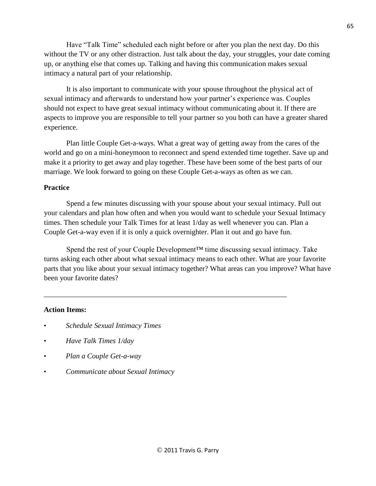Have "Talk Time" scheduled each night before or after you plan the next day. Do this without the TV or any other distraction. Just talk about the day, your struggles, your date coming up, or anything else that comes up. Talking and having this communication makes sexual intimacy a natural part of your relationship.

It is also important to communicate with your spouse throughout the physical act of sexual intimacy and afterwards to understand how your partner's experience was. Couples should not expect to have great sexual intimacy without communicating about it. If there are aspects to improve you are responsible to tell your partner so you both can have a greater shared experience.

Plan little Couple Get-a-ways. What a great way of getting away from the cares of the world and go on a mini-honeymoon to reconnect and spend extended time together. Save up and make it a priority to get away and play together. These have been some of the best parts of our marriage. We look forward to going on these Couple Get-a-ways as often as we can.

### **Practice**

Spend a few minutes discussing with your spouse about your sexual intimacy. Pull out your calendars and plan how often and when you would want to schedule your Sexual Intimacy times. Then schedule your Talk Times for at least 1/day as well whenever you can. Plan a Couple Get-a-way even if it is only a quick overnighter. Plan it out and go have fun.

Spend the rest of your Couple Development™ time discussing sexual intimacy. Take turns asking each other about what sexual intimacy means to each other. What are your favorite parts that you like about your sexual intimacy together? What areas can you improve? What have been your favorite dates?

\_\_\_\_\_\_\_\_\_\_\_\_\_\_\_\_\_\_\_\_\_\_\_\_\_\_\_\_\_\_\_\_\_\_\_\_\_\_\_\_\_\_\_\_\_\_\_\_\_\_\_\_\_\_\_\_\_\_\_\_\_\_\_\_\_\_

#### **Action Items:**

- *Schedule Sexual Intimacy Times*
- *Have Talk Times 1/day*
- *Plan a Couple Get-a-way*
- *Communicate about Sexual Intimacy*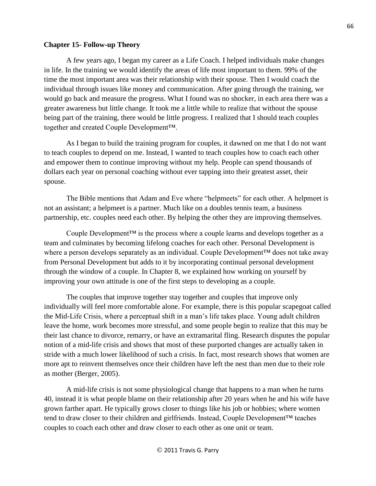#### **Chapter 15- Follow-up Theory**

A few years ago, I began my career as a Life Coach. I helped individuals make changes in life. In the training we would identify the areas of life most important to them. 99% of the time the most important area was their relationship with their spouse. Then I would coach the individual through issues like money and communication. After going through the training, we would go back and measure the progress. What I found was no shocker, in each area there was a greater awareness but little change. It took me a little while to realize that without the spouse being part of the training, there would be little progress. I realized that I should teach couples together and created Couple Development™.

As I began to build the training program for couples, it dawned on me that I do not want to teach couples to depend on me. Instead, I wanted to teach couples how to coach each other and empower them to continue improving without my help. People can spend thousands of dollars each year on personal coaching without ever tapping into their greatest asset, their spouse.

The Bible mentions that Adam and Eve where "helpmeets" for each other. A helpmeet is not an assistant; a helpmeet is a partner. Much like on a doubles tennis team, a business partnership, etc. couples need each other. By helping the other they are improving themselves.

Couple Development<sup> $TM$ </sup> is the process where a couple learns and develops together as a team and culminates by becoming lifelong coaches for each other. Personal Development is where a person develops separately as an individual. Couple Development™ does not take away from Personal Development but adds to it by incorporating continual personal development through the window of a couple. In Chapter 8, we explained how working on yourself by improving your own attitude is one of the first steps to developing as a couple.

The couples that improve together stay together and couples that improve only individually will feel more comfortable alone. For example, there is this popular scapegoat called the Mid-Life Crisis, where a perceptual shift in a man's life takes place. Young adult children leave the home, work becomes more stressful, and some people begin to realize that this may be their last chance to divorce, remarry, or have an extramarital fling. Research disputes the popular notion of a mid-life crisis and shows that most of these purported changes are actually taken in stride with a much lower likelihood of such a crisis. In fact, most research shows that women are more apt to reinvent themselves once their children have left the nest than men due to their role as mother (Berger, 2005).

A mid-life crisis is not some physiological change that happens to a man when he turns 40, instead it is what people blame on their relationship after 20 years when he and his wife have grown farther apart. He typically grows closer to things like his job or hobbies; where women tend to draw closer to their children and girlfriends. Instead, Couple Development™ teaches couples to coach each other and draw closer to each other as one unit or team.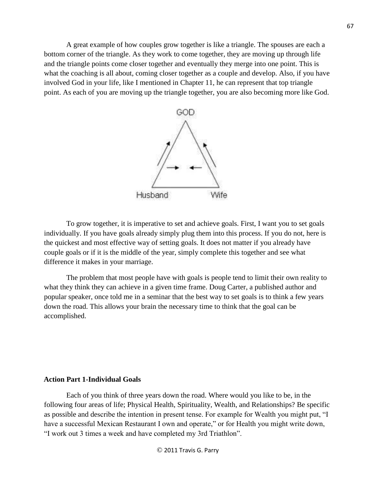A great example of how couples grow together is like a triangle. The spouses are each a bottom corner of the triangle. As they work to come together, they are moving up through life and the triangle points come closer together and eventually they merge into one point. This is what the coaching is all about, coming closer together as a couple and develop. Also, if you have involved God in your life, like I mentioned in Chapter 11, he can represent that top triangle point. As each of you are moving up the triangle together, you are also becoming more like God.



To grow together, it is imperative to set and achieve goals. First, I want you to set goals individually. If you have goals already simply plug them into this process. If you do not, here is the quickest and most effective way of setting goals. It does not matter if you already have couple goals or if it is the middle of the year, simply complete this together and see what difference it makes in your marriage.

The problem that most people have with goals is people tend to limit their own reality to what they think they can achieve in a given time frame. Doug Carter, a published author and popular speaker, once told me in a seminar that the best way to set goals is to think a few years down the road. This allows your brain the necessary time to think that the goal can be accomplished.

#### **Action Part 1-Individual Goals**

Each of you think of three years down the road. Where would you like to be, in the following four areas of life; Physical Health, Spirituality, Wealth, and Relationships? Be specific as possible and describe the intention in present tense. For example for Wealth you might put, "I have a successful Mexican Restaurant I own and operate," or for Health you might write down, "I work out 3 times a week and have completed my 3rd Triathlon".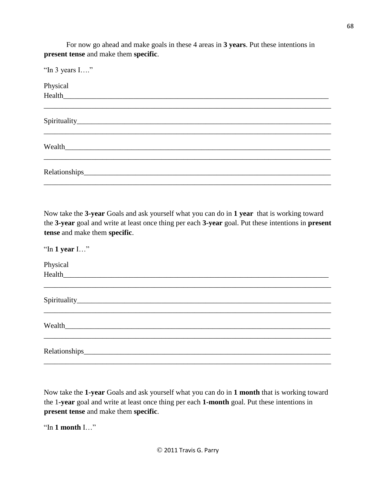For now go ahead and make goals in these 4 areas in **3 years**. Put these intentions in **present tense** and make them **specific**.

| "In 3 years I" |  |  |
|----------------|--|--|
| Physical       |  |  |
|                |  |  |
|                |  |  |
|                |  |  |
|                |  |  |
| Wealth         |  |  |
|                |  |  |
|                |  |  |
|                |  |  |

Now take the **3-year** Goals and ask yourself what you can do in **1 year** that is working toward the **3-year** goal and write at least once thing per each **3-year** goal. Put these intentions in **present tense** and make them **specific**.

"In **1 year** I…" Physical  $Health$ \_\_\_\_\_\_\_\_\_\_\_\_\_\_\_\_\_\_\_\_\_\_\_\_\_\_\_\_\_\_\_\_\_\_\_\_\_\_\_\_\_\_\_\_\_\_\_\_\_\_\_\_\_\_\_\_\_\_\_\_\_\_\_\_\_\_\_\_\_\_\_\_\_\_\_\_\_\_ Spirituality\_\_\_\_\_\_\_\_\_\_\_\_\_\_\_\_\_\_\_\_\_\_\_\_\_\_\_\_\_\_\_\_\_\_\_\_\_\_\_\_\_\_\_\_\_\_\_\_\_\_\_\_\_\_\_\_\_\_\_\_\_\_\_\_\_\_\_\_\_ \_\_\_\_\_\_\_\_\_\_\_\_\_\_\_\_\_\_\_\_\_\_\_\_\_\_\_\_\_\_\_\_\_\_\_\_\_\_\_\_\_\_\_\_\_\_\_\_\_\_\_\_\_\_\_\_\_\_\_\_\_\_\_\_\_\_\_\_\_\_\_\_\_\_\_\_\_\_  $\emph{Weak}$ \_\_\_\_\_\_\_\_\_\_\_\_\_\_\_\_\_\_\_\_\_\_\_\_\_\_\_\_\_\_\_\_\_\_\_\_\_\_\_\_\_\_\_\_\_\_\_\_\_\_\_\_\_\_\_\_\_\_\_\_\_\_\_\_\_\_\_\_\_\_\_\_\_\_\_\_\_\_ Relationships\_\_\_\_\_\_\_\_\_\_\_\_\_\_\_\_\_\_\_\_\_\_\_\_\_\_\_\_\_\_\_\_\_\_\_\_\_\_\_\_\_\_\_\_\_\_\_\_\_\_\_\_\_\_\_\_\_\_\_\_\_\_\_\_\_\_\_ \_\_\_\_\_\_\_\_\_\_\_\_\_\_\_\_\_\_\_\_\_\_\_\_\_\_\_\_\_\_\_\_\_\_\_\_\_\_\_\_\_\_\_\_\_\_\_\_\_\_\_\_\_\_\_\_\_\_\_\_\_\_\_\_\_\_\_\_\_\_\_\_\_\_\_\_\_\_

Now take the **1-year** Goals and ask yourself what you can do in **1 month** that is working toward the 1**-year** goal and write at least once thing per each **1-month** goal. Put these intentions in **present tense** and make them **specific**.

"In **1 month** I…"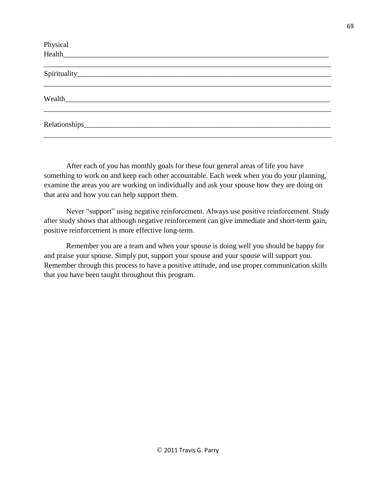After each of you has monthly goals for these four general areas of life you have something to work on and keep each other accountable. Each week when you do your planning, examine the areas you are working on individually and ask your spouse how they are doing on that area and how you can help support them.

Never "support" using negative reinforcement. Always use positive reinforcement. Study after study shows that although negative reinforcement can give immediate and short-term gain, positive reinforcement is more effective long-term.

Remember you are a team and when your spouse is doing well you should be happy for and praise your spouse. Simply put, support your spouse and your spouse will support you. Remember through this process to have a positive attitude, and use proper communication skills that you have been taught throughout this program.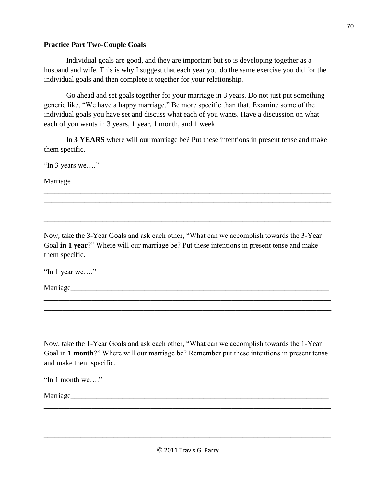#### **Practice Part Two-Couple Goals**

Individual goals are good, and they are important but so is developing together as a husband and wife. This is why I suggest that each year you do the same exercise you did for the individual goals and then complete it together for your relationship.

Go ahead and set goals together for your marriage in 3 years. Do not just put something generic like, "We have a happy marriage." Be more specific than that. Examine some of the individual goals you have set and discuss what each of you wants. Have a discussion on what each of you wants in 3 years, 1 year, 1 month, and 1 week.

In **3 YEARS** where will our marriage be? Put these intentions in present tense and make them specific.

*\_\_\_\_\_\_\_\_\_\_\_\_\_\_\_\_\_\_\_\_\_\_\_\_\_\_\_\_\_\_\_\_\_\_\_\_\_\_\_\_\_\_\_\_\_\_\_\_\_\_\_\_\_\_\_\_\_\_\_\_\_\_\_\_\_\_\_\_\_\_\_\_\_\_\_\_\_\_ \_\_\_\_\_\_\_\_\_\_\_\_\_\_\_\_\_\_*\_\_\_\_\_\_\_\_\_\_\_\_\_\_\_\_\_\_\_\_\_\_\_\_\_\_\_\_\_\_\_\_\_\_\_\_\_\_\_\_\_\_\_\_\_\_\_\_\_\_\_\_\_\_\_\_\_\_\_\_ \_\_\_\_\_\_\_\_\_\_\_\_\_\_\_\_\_\_\_\_\_\_\_\_\_\_\_\_\_\_\_\_\_\_\_\_\_\_\_\_\_\_\_\_\_\_\_\_\_\_\_\_\_\_\_\_\_\_\_\_\_\_\_\_\_\_\_\_\_\_\_\_\_\_\_\_\_\_ \_\_\_\_\_\_\_\_\_\_\_\_\_\_\_\_\_\_\_\_\_\_\_\_\_\_\_\_\_\_\_\_\_\_\_\_\_\_\_\_\_\_\_\_\_\_\_\_\_\_\_\_\_\_\_\_\_\_\_\_\_\_\_\_\_\_\_\_\_\_\_\_\_\_\_\_\_\_

"In 3 years we…."

Marriage*\_\_\_\_\_\_\_\_\_\_\_\_\_\_\_\_\_\_\_\_\_\_\_\_\_\_\_\_\_\_\_\_\_\_\_\_\_\_\_\_\_\_\_\_\_\_\_\_\_\_\_\_\_\_\_\_\_\_\_\_\_\_\_\_\_\_\_\_\_\_*

Now, take the 3-Year Goals and ask each other, "What can we accomplish towards the 3-Year Goal **in 1 year**?" Where will our marriage be? Put these intentions in present tense and make them specific.

"In 1 year we…."

Marriage*\_\_\_\_\_\_\_\_\_\_\_\_\_\_\_\_\_\_\_\_\_\_\_\_\_\_\_\_\_\_\_\_\_\_\_\_\_\_\_\_\_\_\_\_\_\_\_\_\_\_\_\_\_\_\_\_\_\_\_\_\_\_\_\_\_\_\_\_\_\_*

Now, take the 1-Year Goals and ask each other, "What can we accomplish towards the 1-Year Goal in **1 month**?" Where will our marriage be? Remember put these intentions in present tense and make them specific.

*\_\_\_\_\_\_\_\_\_\_\_\_\_\_\_\_\_\_\_\_\_\_\_\_\_\_\_\_\_\_\_\_\_\_\_\_\_\_\_\_\_\_\_\_\_\_\_\_\_\_\_\_\_\_\_\_\_\_\_\_\_\_\_\_\_\_\_\_\_\_\_\_\_\_\_\_\_\_ \_\_\_\_\_\_\_\_\_\_\_\_\_\_\_\_\_\_*\_\_\_\_\_\_\_\_\_\_\_\_\_\_\_\_\_\_\_\_\_\_\_\_\_\_\_\_\_\_\_\_\_\_\_\_\_\_\_\_\_\_\_\_\_\_\_\_\_\_\_\_\_\_\_\_\_\_\_\_ \_\_\_\_\_\_\_\_\_\_\_\_\_\_\_\_\_\_\_\_\_\_\_\_\_\_\_\_\_\_\_\_\_\_\_\_\_\_\_\_\_\_\_\_\_\_\_\_\_\_\_\_\_\_\_\_\_\_\_\_\_\_\_\_\_\_\_\_\_\_\_\_\_\_\_\_\_\_ \_\_\_\_\_\_\_\_\_\_\_\_\_\_\_\_\_\_\_\_\_\_\_\_\_\_\_\_\_\_\_\_\_\_\_\_\_\_\_\_\_\_\_\_\_\_\_\_\_\_\_\_\_\_\_\_\_\_\_\_\_\_\_\_\_\_\_\_\_\_\_\_\_\_\_\_\_\_

"In 1 month we…."

Marriage

*\_\_\_\_\_\_\_\_\_\_\_\_\_\_\_\_\_\_\_\_\_\_\_\_\_\_\_\_\_\_\_\_\_\_\_\_\_\_\_\_\_\_\_\_\_\_\_\_\_\_\_\_\_\_\_\_\_\_\_\_\_\_\_\_\_\_\_\_\_\_\_\_\_\_\_\_\_\_ \_\_\_\_\_\_\_\_\_\_\_\_\_\_\_\_\_\_*\_\_\_\_\_\_\_\_\_\_\_\_\_\_\_\_\_\_\_\_\_\_\_\_\_\_\_\_\_\_\_\_\_\_\_\_\_\_\_\_\_\_\_\_\_\_\_\_\_\_\_\_\_\_\_\_\_\_\_\_ \_\_\_\_\_\_\_\_\_\_\_\_\_\_\_\_\_\_\_\_\_\_\_\_\_\_\_\_\_\_\_\_\_\_\_\_\_\_\_\_\_\_\_\_\_\_\_\_\_\_\_\_\_\_\_\_\_\_\_\_\_\_\_\_\_\_\_\_\_\_\_\_\_\_\_\_\_\_ \_\_\_\_\_\_\_\_\_\_\_\_\_\_\_\_\_\_\_\_\_\_\_\_\_\_\_\_\_\_\_\_\_\_\_\_\_\_\_\_\_\_\_\_\_\_\_\_\_\_\_\_\_\_\_\_\_\_\_\_\_\_\_\_\_\_\_\_\_\_\_\_\_\_\_\_\_\_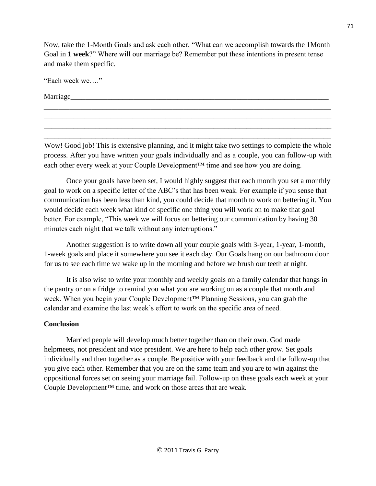Now, take the 1-Month Goals and ask each other, "What can we accomplish towards the 1Month Goal in **1 week**?" Where will our marriage be? Remember put these intentions in present tense and make them specific.

"Each week we…."

Marriage*\_\_\_\_\_\_\_\_\_\_\_\_\_\_\_\_\_\_\_\_\_\_\_\_\_\_\_\_\_\_\_\_\_\_\_\_\_\_\_\_\_\_\_\_\_\_\_\_\_\_\_\_\_\_\_\_\_\_\_\_\_\_\_\_\_\_\_\_\_\_*

Wow! Good job! This is extensive planning, and it might take two settings to complete the whole process. After you have written your goals individually and as a couple, you can follow-up with each other every week at your Couple Development™ time and see how you are doing.

*\_\_\_\_\_\_\_\_\_\_\_\_\_\_\_\_\_\_\_\_\_\_\_\_\_\_\_\_\_\_\_\_\_\_\_\_\_\_\_\_\_\_\_\_\_\_\_\_\_\_\_\_\_\_\_\_\_\_\_\_\_\_\_\_\_\_\_\_\_\_\_\_\_\_\_\_\_\_ \_\_\_\_\_\_\_\_\_\_\_\_\_\_\_\_\_\_*\_\_\_\_\_\_\_\_\_\_\_\_\_\_\_\_\_\_\_\_\_\_\_\_\_\_\_\_\_\_\_\_\_\_\_\_\_\_\_\_\_\_\_\_\_\_\_\_\_\_\_\_\_\_\_\_\_\_\_\_ \_\_\_\_\_\_\_\_\_\_\_\_\_\_\_\_\_\_\_\_\_\_\_\_\_\_\_\_\_\_\_\_\_\_\_\_\_\_\_\_\_\_\_\_\_\_\_\_\_\_\_\_\_\_\_\_\_\_\_\_\_\_\_\_\_\_\_\_\_\_\_\_\_\_\_\_\_\_ \_\_\_\_\_\_\_\_\_\_\_\_\_\_\_\_\_\_\_\_\_\_\_\_\_\_\_\_\_\_\_\_\_\_\_\_\_\_\_\_\_\_\_\_\_\_\_\_\_\_\_\_\_\_\_\_\_\_\_\_\_\_\_\_\_\_\_\_\_\_\_\_\_\_\_\_\_\_

Once your goals have been set, I would highly suggest that each month you set a monthly goal to work on a specific letter of the ABC's that has been weak. For example if you sense that communication has been less than kind, you could decide that month to work on bettering it. You would decide each week what kind of specific one thing you will work on to make that goal better. For example, "This week we will focus on bettering our communication by having 30 minutes each night that we talk without any interruptions."

Another suggestion is to write down all your couple goals with 3-year, 1-year, 1-month, 1-week goals and place it somewhere you see it each day. Our Goals hang on our bathroom door for us to see each time we wake up in the morning and before we brush our teeth at night.

It is also wise to write your monthly and weekly goals on a family calendar that hangs in the pantry or on a fridge to remind you what you are working on as a couple that month and week. When you begin your Couple Development™ Planning Sessions, you can grab the calendar and examine the last week's effort to work on the specific area of need.

# **Conclusion**

Married people will develop much better together than on their own. God made helpmeets, not president and **v**ice president. We are here to help each other grow. Set goals individually and then together as a couple. Be positive with your feedback and the follow-up that you give each other. Remember that you are on the same team and you are to win against the oppositional forces set on seeing your marriage fail. Follow-up on these goals each week at your Couple Development™ time, and work on those areas that are weak.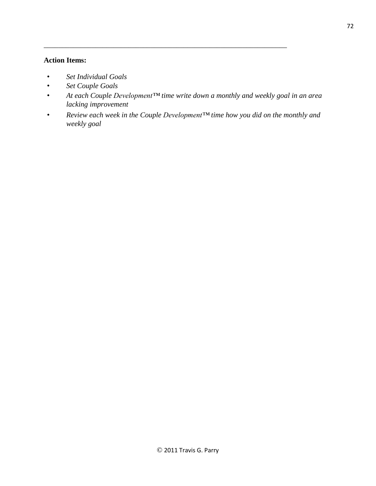# **Action Items:**

- *Set Individual Goals*
- *Set Couple Goals*
- *At each Couple Development™ time write down a monthly and weekly goal in an area lacking improvement*

\_\_\_\_\_\_\_\_\_\_\_\_\_\_\_\_\_\_\_\_\_\_\_\_\_\_\_\_\_\_\_\_\_\_\_\_\_\_\_\_\_\_\_\_\_\_\_\_\_\_\_\_\_\_\_\_\_\_\_\_\_\_\_\_\_\_

• *Review each week in the Couple Development™ time how you did on the monthly and weekly goal*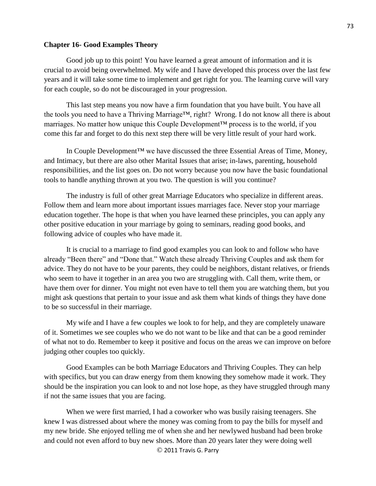#### **Chapter 16- Good Examples Theory**

Good job up to this point! You have learned a great amount of information and it is crucial to avoid being overwhelmed. My wife and I have developed this process over the last few years and it will take some time to implement and get right for you. The learning curve will vary for each couple, so do not be discouraged in your progression.

This last step means you now have a firm foundation that you have built. You have all the tools you need to have a Thriving Marriage™, right? Wrong. I do not know all there is about marriages. No matter how unique this Couple Development™ process is to the world, if you come this far and forget to do this next step there will be very little result of your hard work.

In Couple Development<sup>™</sup> we have discussed the three Essential Areas of Time, Money, and Intimacy, but there are also other Marital Issues that arise; in-laws, parenting, household responsibilities, and the list goes on. Do not worry because you now have the basic foundational tools to handle anything thrown at you two. The question is will you continue?

The industry is full of other great Marriage Educators who specialize in different areas. Follow them and learn more about important issues marriages face. Never stop your marriage education together. The hope is that when you have learned these principles, you can apply any other positive education in your marriage by going to seminars, reading good books, and following advice of couples who have made it.

It is crucial to a marriage to find good examples you can look to and follow who have already "Been there" and "Done that." Watch these already Thriving Couples and ask them for advice. They do not have to be your parents, they could be neighbors, distant relatives, or friends who seem to have it together in an area you two are struggling with. Call them, write them, or have them over for dinner. You might not even have to tell them you are watching them, but you might ask questions that pertain to your issue and ask them what kinds of things they have done to be so successful in their marriage.

My wife and I have a few couples we look to for help, and they are completely unaware of it. Sometimes we see couples who we do not want to be like and that can be a good reminder of what not to do. Remember to keep it positive and focus on the areas we can improve on before judging other couples too quickly.

Good Examples can be both Marriage Educators and Thriving Couples. They can help with specifics, but you can draw energy from them knowing they somehow made it work. They should be the inspiration you can look to and not lose hope, as they have struggled through many if not the same issues that you are facing.

© 2011 Travis G. Parry When we were first married, I had a coworker who was busily raising teenagers. She knew I was distressed about where the money was coming from to pay the bills for myself and my new bride. She enjoyed telling me of when she and her newlywed husband had been broke and could not even afford to buy new shoes. More than 20 years later they were doing well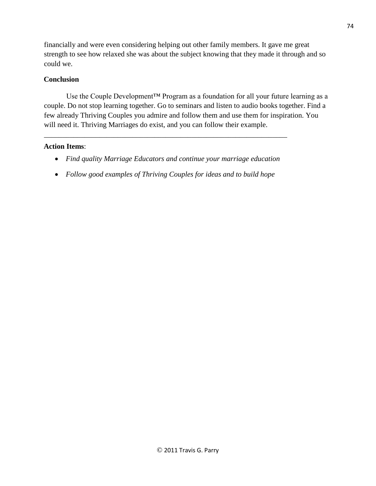financially and were even considering helping out other family members. It gave me great strength to see how relaxed she was about the subject knowing that they made it through and so could we.

# **Conclusion**

Use the Couple Development™ Program as a foundation for all your future learning as a couple. Do not stop learning together. Go to seminars and listen to audio books together. Find a few already Thriving Couples you admire and follow them and use them for inspiration. You will need it. Thriving Marriages do exist, and you can follow their example.

# **Action Items**:

• *Find quality Marriage Educators and continue your marriage education*

\_\_\_\_\_\_\_\_\_\_\_\_\_\_\_\_\_\_\_\_\_\_\_\_\_\_\_\_\_\_\_\_\_\_\_\_\_\_\_\_\_\_\_\_\_\_\_\_\_\_\_\_\_\_\_\_\_\_\_\_\_\_\_\_\_\_

• *Follow good examples of Thriving Couples for ideas and to build hope*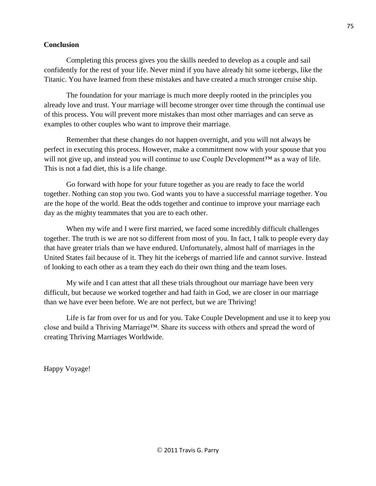#### **Conclusion**

Completing this process gives you the skills needed to develop as a couple and sail confidently for the rest of your life. Never mind if you have already hit some icebergs, like the Titanic. You have learned from these mistakes and have created a much stronger cruise ship.

The foundation for your marriage is much more deeply rooted in the principles you already love and trust. Your marriage will become stronger over time through the continual use of this process. You will prevent more mistakes than most other marriages and can serve as examples to other couples who want to improve their marriage.

Remember that these changes do not happen overnight, and you will not always be perfect in executing this process. However, make a commitment now with your spouse that you will not give up, and instead you will continue to use Couple Development™ as a way of life. This is not a fad diet, this is a life change.

Go forward with hope for your future together as you are ready to face the world together. Nothing can stop you two. God wants you to have a successful marriage together. You are the hope of the world. Beat the odds together and continue to improve your marriage each day as the mighty teammates that you are to each other.

When my wife and I were first married, we faced some incredibly difficult challenges together. The truth is we are not so different from most of you. In fact, I talk to people every day that have greater trials than we have endured. Unfortunately, almost half of marriages in the United States fail because of it. They hit the icebergs of married life and cannot survive. Instead of looking to each other as a team they each do their own thing and the team loses.

My wife and I can attest that all these trials throughout our marriage have been very difficult, but because we worked together and had faith in God, we are closer in our marriage than we have ever been before. We are not perfect, but we are Thriving!

Life is far from over for us and for you. Take Couple Development and use it to keep you close and build a Thriving Marriage™. Share its success with others and spread the word of creating Thriving Marriages Worldwide.

Happy Voyage!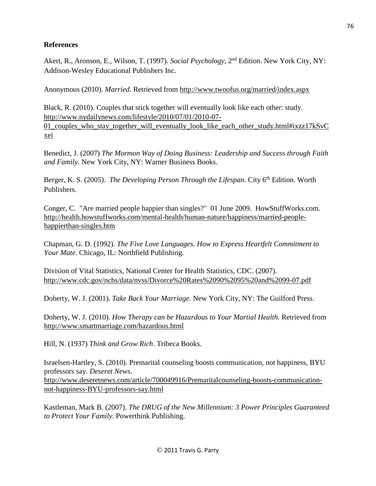# **References**

Akert, R., Aronson, E., Wilson, T. (1997). *Social Psychology*, 2<sup>nd</sup> Edition. New York City, NY: Addison-Wesley Educational Publishers Inc.

Anonymous (2010). *Married*. Retrieved from<http://www.twoofus.org/married/index.aspx>

Black, R. (2010). Couples that stick together will eventually look like each other: study. [http://www.nydailynews.com/lifestyle/2010/07/01/2010-07-](http://www.nydailynews.com/lifestyle/2010/07/01/2010-07-01_couples_who_stay_together_will_eventually_look_like_each_other_study.html#ixzz17kSvCxei) 01 couples who stay together will eventually look like each other study.html#ixzz17kSvC [xei](http://www.nydailynews.com/lifestyle/2010/07/01/2010-07-01_couples_who_stay_together_will_eventually_look_like_each_other_study.html#ixzz17kSvCxei)

Benedict, J. (2007) *The Mormon Way of Doing Business: Leadership and Success through Faith and Family.* New York City, NY: Warner Business Books.

Berger, K. S. (2005). *The Developing Person Through the Lifespan*. City 6<sup>th</sup> Edition. Worth Publishers.

Conger, C. "Are married people happier than singles?" 01 June 2009. HowStuffWorks.com. [http://health.howstuffworks.com/mental-health/human-nature/happiness/married-people](http://health.howstuffworks.com/mental-health/human-nature/happiness/married-people-happier-than-singles.htm)[happierthan-singles.htm](http://health.howstuffworks.com/mental-health/human-nature/happiness/married-people-happier-than-singles.htm)

Chapman, G. D. (1992). *The Five Love Languages. How to Express Heartfelt Commitment to Your Mate.* Chicago, IL: Northfield Publishing.

Division of Vital Statistics, National Center for Health Statistics, CDC. (2007). <http://www.cdc.gov/nchs/data/nvss/Divorce%20Rates%2090%2095%20and%2099-07.pdf>

Doherty, W. J. (2001). *Take Back Your Marriage*. New York City, NY: The Guilford Press.

Doherty, W. J. (2010). *How Therapy can be Hazardous to Your Martial Health.* Retrieved from <http://www.smartmarriage.com/hazardous.html>

Hill, N. (1937) *Think and Grow Rich*. Tribeca Books.

Israelsen-Hartley, S. (2010). Premarital counseling boosts communication, not happiness, BYU professors say. *Deseret News*. [http://www.deseretnews.com/article/700049916/Premaritalcounseling-boosts-communication](http://www.deseretnews.com/article/700049916/Premarital-counseling-boosts-communication-not-happiness-BYU-professors-say.html)[not-happiness-BYU-professors-say.html](http://www.deseretnews.com/article/700049916/Premarital-counseling-boosts-communication-not-happiness-BYU-professors-say.html)

Kastleman, Mark B. (2007). *The DRUG of the New Millennium: 3 Power Principles Guaranteed to Protect Your Family.* Powerthink Publishing.